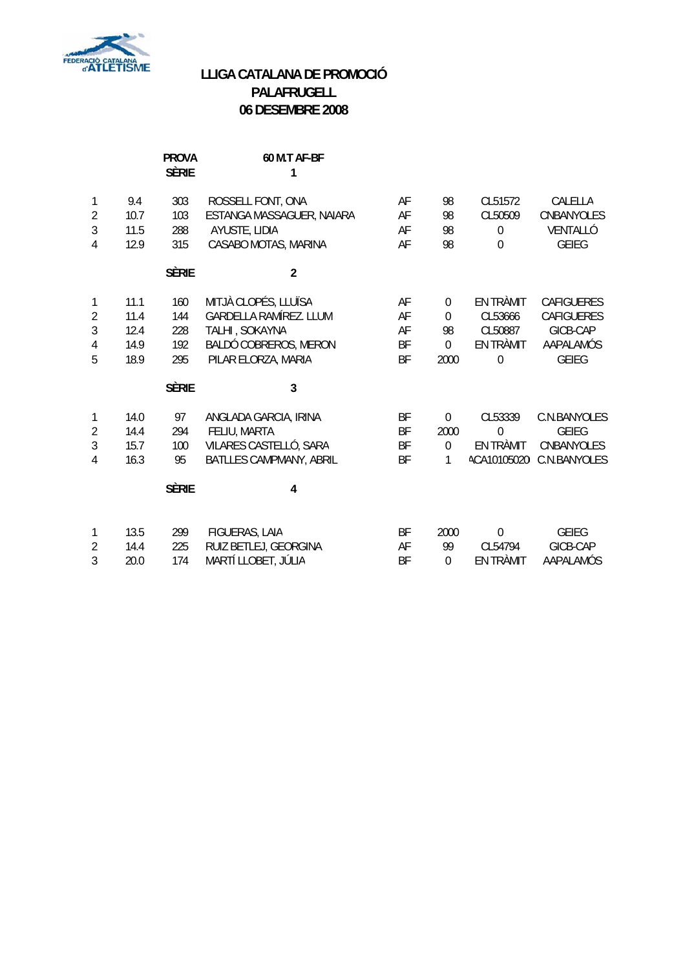

# **LLIGA CATALANA DE PROMOCIÓ PALAFRUGELL 06 DESEMBRE 2008**

|                |      | <b>PROVA</b><br><b>SÈRIE</b> | 60 M.T AF-BF<br>1             |           |                  |             |                           |
|----------------|------|------------------------------|-------------------------------|-----------|------------------|-------------|---------------------------|
| 1              | 9.4  | 303                          | ROSSELL FONT, ONA             | AF        | 98               | CL51572     | CALELLA                   |
| $\overline{2}$ | 10.7 | 103                          | ESTANGA MASSAGUER, NAIARA     | AF        | 98               | CL50509     | CNBANYOLES                |
| 3              | 11.5 | 288                          | AYUSTE, LIDIA                 | AF        | 98               | $\mathbf 0$ | VENTALLÓ                  |
| 4              | 12.9 | 315                          | CASABO MOTAS, MARINA          | AF        | 98               | $\Omega$    | <b>GEIEG</b>              |
|                |      | <b>SÈRIE</b>                 | $\overline{2}$                |           |                  |             |                           |
| 1              | 11.1 | 160                          | MITJÀ CLOPÉS, LLUÏSA          | AF        | $\boldsymbol{0}$ | EN TRÀMIT   | <b>CAFIGUERES</b>         |
| $\overline{2}$ | 11.4 | 144                          | <b>GARDELLA RAMÍREZ. LLUM</b> | AF        | $\mathbf 0$      | CL53666     | <b>CAFIGUERES</b>         |
| 3              | 12.4 | 228                          | TALHI, SOKAYNA                | AF        | 98               | CL50887     | GICB-CAP                  |
| 4              | 14.9 | 192                          | BALDÓ COBREROS, MERON         | <b>BF</b> | $\Omega$         | EN TRÀMIT   | AAPALAMÓS                 |
| 5              | 18.9 | 295                          | PILAR ELORZA, MARIA           | <b>BF</b> | 2000             | $\mathbf 0$ | <b>GEIEG</b>              |
|                |      | <b>SÈRIE</b>                 | 3                             |           |                  |             |                           |
| 1              | 14.0 | 97                           | ANGLADA GARCIA, IRINA         | BF        | $\mathbf 0$      | CL53339     | C.N.BANYOLES              |
| $\overline{2}$ | 14.4 | 294                          | FELIU, MARTA                  | <b>BF</b> | 2000             | $\Omega$    | <b>GEIEG</b>              |
| 3              | 15.7 | 100                          | VILARES CASTELLÓ, SARA        | <b>BF</b> | $\overline{0}$   | EN TRÀMIT   | <b>CNBANYOLES</b>         |
| 4              | 16.3 | 95                           | BATLLES CAMPMANY, ABRIL       | <b>BF</b> | 1                |             | ACA10105020I C.N.BANYOLES |
|                |      | <b>SÈRIE</b>                 | 4                             |           |                  |             |                           |
| 1              | 13.5 | 299                          | FIGUERAS, LAIA                | BF        | 2000             | $\mathbf 0$ | <b>GEIEG</b>              |
| $\overline{2}$ | 14.4 | 225                          | RUIZ BETLEJ, GEORGINA         | AF        | 99               | CL54794     | GICB-CAP                  |
| 3              | 20.0 | 174                          | MARTÍ LLOBET, JÚLIA           | <b>BF</b> | $\theta$         | EN TRÀMIT   | AAPALAMÓS                 |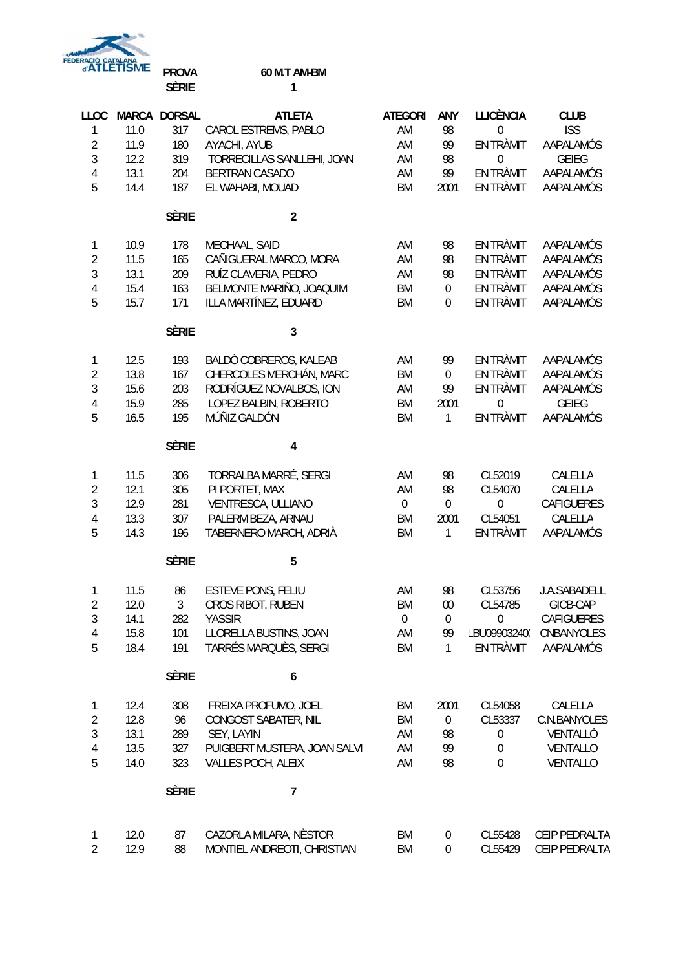FEDERACIO CATALANA

## **PROVA 60 M.T AM-BM SÈRIE 1**

| LLOC<br>1<br>$\overline{2}$ | 11.0<br>11.9 | MARCA DORSAL<br>317<br>180 | <b>ATLETA</b><br>CAROL ESTREMS, PABLO<br>AYACHI, AYUB | <b>ATEGORI</b><br>AM<br>AM | ANY<br>98<br>99        | <b>LLICÈNCIA</b><br>$\mathbf 0$<br>EN TRÀMIT | <b>CLUB</b><br><b>ISS</b><br>AAPALAMÓS |
|-----------------------------|--------------|----------------------------|-------------------------------------------------------|----------------------------|------------------------|----------------------------------------------|----------------------------------------|
| 3                           | 12.2         | 319                        | TORRECILLAS SANLLEHI, JOAN                            | AM                         | 98                     | $\boldsymbol{0}$                             | <b>GEIEG</b>                           |
| $\overline{4}$              | 13.1         | 204                        | BERTRAN CASADO                                        | AM                         | 99                     | EN TRÀMIT                                    | AAPALAMÓS                              |
| 5                           | 14.4         | 187                        | EL WAHABI, MOUAD                                      | <b>BM</b>                  | 2001                   | EN TRÀMIT                                    | AAPALAMÓS                              |
|                             |              |                            |                                                       |                            |                        |                                              |                                        |
|                             |              | <b>SÈRIE</b>               | $\overline{2}$                                        |                            |                        |                                              |                                        |
| 1                           | 10.9         | 178                        | MECHAAL, SAID                                         | AM                         | 98                     | EN TRÀMIT                                    | AAPALAMÓS                              |
| $\sqrt{2}$                  | 11.5         | 165                        | CAÑIGUERAL MARCO, MORA                                | AM                         | 98                     | EN TRÀMIT                                    | AAPALAMÓS                              |
| 3                           | 13.1         | 209                        | RUÍZ CLAVERIA, PEDRO                                  | AM                         | 98                     | EN TRÀMIT                                    | AAPALAMÓS                              |
| $\overline{4}$              | 15.4         | 163                        | BELMONTE MARIÑO, JOAQUIM                              | <b>BM</b>                  | $\boldsymbol{0}$       | EN TRÀMIT                                    | AAPALAMÓS                              |
| 5                           | 15.7         | 171                        | ILLA MARTÍNEZ, EDUARD                                 | BM                         | $\boldsymbol{0}$       | EN TRÀMIT                                    | AAPALAMÓS                              |
|                             |              | <b>SÈRIE</b>               | 3                                                     |                            |                        |                                              |                                        |
| 1                           | 12.5         | 193                        | BALDÒ COBREROS, KALEAB                                | AM                         | 99                     | EN TRÀMIT                                    | AAPALAMÓS                              |
| $\overline{2}$              | 13.8         | 167                        | CHERCOLES MERCHÁN, MARC                               | BM                         | $\boldsymbol{0}$       | EN TRÀMIT                                    | AAPALAMÓS                              |
| 3                           | 15.6         | 203                        | RODRÍGUEZ NOVALBOS, ION                               | AM                         | 99                     | EN TRÀMIT                                    | AAPALAMÓS                              |
| $\overline{4}$              | 15.9         | 285                        | LOPEZ BALBIN, ROBERTO                                 | <b>BM</b>                  | 2001                   | 0                                            | <b>GEIEG</b>                           |
| 5                           | 16.5         | 195                        | MÚÑIZ GALDÓN                                          | <b>BM</b>                  | 1                      | EN TRÀMIT                                    | AAPALAMÓS                              |
|                             |              | <b>SÈRIE</b>               | $\overline{\mathbf{4}}$                               |                            |                        |                                              |                                        |
| 1                           | 11.5         | 306                        | TORRALBA MARRÉ, SERGI                                 | AM                         | 98                     | CL52019                                      | CALELLA                                |
| $\overline{2}$              | 12.1         | 305                        | PI PORTET, MAX                                        | AM                         | 98                     | CL54070                                      | CALELLA                                |
| 3                           | 12.9         | 281                        | VENTRESCA, ULLIANO                                    | $\boldsymbol{0}$           | $\mathbf 0$            | $\mathbf 0$                                  | CAFIGUERES                             |
| $\overline{4}$              | 13.3         | 307                        | PALERM BEZA, ARNAU                                    | BM                         | 2001                   | CL54051                                      | CALELLA                                |
| 5                           | 14.3         | 196                        | TABERNERO MARCH, ADRIÀ                                | BM                         | 1                      | EN TRÀMIT                                    | AAPALAMÓS                              |
|                             |              | <b>SÈRIE</b>               | 5                                                     |                            |                        |                                              |                                        |
|                             |              |                            |                                                       |                            |                        |                                              |                                        |
| 1                           | 11.5         | 86                         | <b>ESTEVE PONS, FELIU</b>                             | AM                         | 98                     | CL53756                                      | J.A.SABADELL                           |
| $\overline{2}$              | 12.0         | 3                          | CROS RIBOT, RUBEN                                     | <b>BM</b>                  | 00                     | CL54785                                      | GICB-CAP                               |
| 3<br>4                      | 14.1<br>15.8 | 282<br>101                 | <b>YASSIR</b><br>LLORELLA BUSTINS, JOAN               | $\boldsymbol{0}$<br>AM     | $\boldsymbol{0}$<br>99 | $\boldsymbol{0}$<br>BU099032400              | CAFIGUERES<br>CNBANYOLES               |
| 5                           | 18.4         | 191                        | TARRÉS MARQUÈS, SERGI                                 | BM                         | 1                      | EN TRÀMIT                                    | AAPALAMÓS                              |
|                             |              |                            |                                                       |                            |                        |                                              |                                        |
|                             |              | <b>SÈRIE</b>               | 6                                                     |                            |                        |                                              |                                        |
| 1                           | 12.4         | 308                        | FREIXA PROFUMO, JOEL                                  | BM                         | 2001                   | CL54058                                      | CALELLA                                |
| $\sqrt{2}$                  | 12.8         | 96                         | CONGOST SABATER, NIL                                  | <b>BM</b>                  | $\boldsymbol{0}$       | CL53337                                      | C.N.BANYOLES                           |
| 3                           | 13.1         | 289                        | SEY, LAYIN                                            | AM                         | 98                     | 0                                            | VENTALLÓ                               |
| $\overline{4}$              | 13.5         | 327                        | PUIGBERT MUSTERA, JOAN SALVI                          | AM                         | 99                     | $\boldsymbol{0}$                             | VENTALLO                               |
| 5                           | 14.0         | 323                        | VALLES POCH, ALEIX                                    | AM                         | 98                     | 0                                            | VENTALLO                               |
|                             |              | <b>SÈRIE</b>               | 7                                                     |                            |                        |                                              |                                        |
| 1                           | 12.0         | 87                         | CAZORLA MILARA, NÈSTOR                                | BM                         | $\boldsymbol{0}$       | CL55428                                      | CEIP PEDRALTA                          |
| $\overline{2}$              | 12.9         | 88                         | MONTIEL ANDREOTI, CHRISTIAN                           | BM                         | $\boldsymbol{0}$       | CL55429                                      | CEIP PEDRALTA                          |
|                             |              |                            |                                                       |                            |                        |                                              |                                        |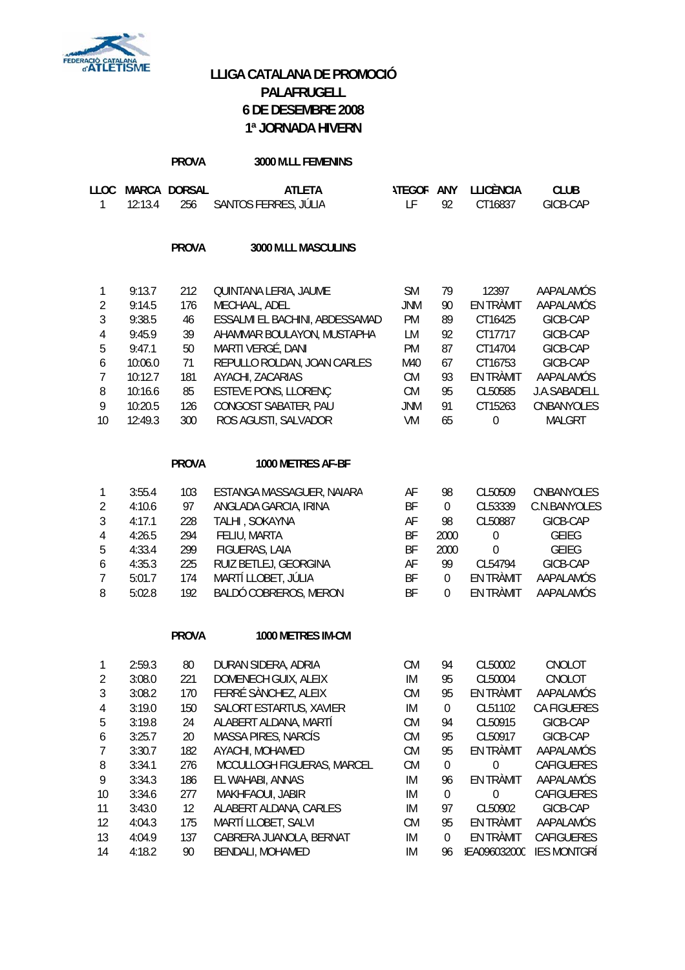

# **LLIGA CATALANA DE PROMOCIÓ PALAFRUGELL 6 DE DESEMBRE 2008 1ª JORNADA HIVERN**

|                |                  | <b>PROVA</b>        | 3000 M.LL FEMENINS                             |                         |                        |                             |                         |
|----------------|------------------|---------------------|------------------------------------------------|-------------------------|------------------------|-----------------------------|-------------------------|
| LLOC<br>1      | 12:13.4          | MARCA DORSAL<br>256 | <b>ATLETA</b><br>SANTOS FERRES, JÚLIA          | <b>ITEGOR ANY</b><br>LF | 92                     | <b>LLICÈNCIA</b><br>CT16837 | <b>CLUB</b><br>GICB-CAP |
|                |                  | <b>PROVA</b>        | 3000 M.LL MASCULINS                            |                         |                        |                             |                         |
| 1              | 9:13.7           | 212                 | QUINTANA LERIA, JAUME                          | <b>SM</b>               | 79                     | 12397                       | AAPALAMÓS               |
| $\overline{2}$ | 9:14.5           | 176                 | MECHAAL, ADEL                                  | <b>JNM</b>              | 90                     | EN TRÀMIT                   | AAPALAMÓS               |
| 3              | 9:38.5           | 46                  | ESSALMI EL BACHINI, ABDESSAMAD                 | PM                      | 89                     | CT16425                     | GICB-CAP                |
| $\overline{4}$ | 9:45.9           | 39                  | AHAMMAR BOULAYON, MUSTAPHA                     | LM                      | 92                     | CT17717                     | GICB-CAP                |
| 5              | 9:47.1           | 50                  | MARTI VERGÉ, DANI                              | PM                      | 87                     | CT14704                     | GICB-CAP                |
| 6              | 10:06.0          | 71                  | REPULLO ROLDAN, JOAN CARLES                    | M40                     | 67                     | CT16753                     | GICB-CAP                |
| $\overline{7}$ | 10:12.7          | 181                 | AYACHI, ZACARIAS                               | <b>CM</b>               | 93                     | EN TRÀMIT                   | AAPALAMÓS               |
| 8              | 10:16.6          | 85                  | ESTEVE PONS, LLORENÇ                           | <b>CM</b>               | 95                     | CL50585                     | J.A.SABADELL            |
| 9<br>10        | 10:20.5          | 126                 | CONGOST SABATER, PAU                           | <b>JNM</b>              | 91                     | CT15263                     | CNBANYOLES              |
|                | 12:49.3          | 300                 | ROS AGUSTI, SALVADOR                           | VM                      | 65                     | $\mathbf 0$                 | <b>MALGRT</b>           |
|                |                  | <b>PROVA</b>        | 1000 METRES AF-BF                              |                         |                        |                             |                         |
| 1              | 3:55.4           | 103                 | ESTANGA MASSAGUER, NAIARA                      | AF                      | 98                     | CL50509                     | CNBANYOLES              |
| $\overline{2}$ | 4:10.6           | 97                  | ANGLADA GARCIA, IRINA                          | BF                      | $\pmb{0}$              | CL53339                     | C.N.BANYOLES            |
| $\overline{3}$ | 4:17.1           | 228                 | TALHI, SOKAYNA                                 | AF                      | 98                     | CL50887                     | GICB-CAP                |
| $\overline{4}$ | 4:26.5           | 294                 | FELIU, MARTA                                   | BF                      | 2000                   | $\boldsymbol{0}$            | <b>GEIEG</b>            |
| 5              | 4:33.4           | 299                 | FIGUERAS, LAIA                                 | BF                      | 2000                   | 0                           | <b>GEIEG</b>            |
| 6              | 4:35.3           | 225                 | RUIZ BETLEJ, GEORGINA                          | AF                      | 99                     | CL54794                     | GICB-CAP                |
| $\overline{7}$ | 5:01.7           | 174                 | MARTÍ LLOBET, JÚLIA                            | BF                      | $\boldsymbol{0}$       | EN TRÀMIT                   | AAPALAMÓS               |
| 8              | 5:02.8           | 192                 | BALDÓ COBREROS, MERON                          | BF                      | 0                      | EN TRÀMIT                   | AAPALAMÓS               |
|                |                  | <b>PROVA</b>        | 1000 METRES IM-CM                              |                         |                        |                             |                         |
| $\mathbf{1}$   | 2:59.3           | 80                  | DURAN SIDERA, ADRIA                            | CM                      | 94                     | CL50002                     | CNOLOT                  |
| $\sqrt{2}$     | 3:08.0           | 221                 | DOMENECH GUIX, ALEIX                           | IM                      | 95                     | CL50004                     | CNOLOT                  |
| 3              | 3:08.2           | 170                 | FERRÉ SÀNCHEZ, ALEIX                           | <b>CM</b>               | 95                     | EN TRÀMIT                   | AAPALAMÓS               |
| $\overline{4}$ | 3:19.0           | 150                 | SALORT ESTARTUS, XAVIER                        | IM                      | $\boldsymbol{0}$       | CL51102                     | CA FIGUERES             |
| 5              | 3:19.8           | 24                  | ALABERT ALDANA, MARTÍ                          | <b>CM</b>               | 94                     | CL50915                     | GICB-CAP                |
| 6              | 3:25.7           | 20                  | MASSA PIRES, NARCÍS                            | <b>CM</b>               | 95                     | CL50917                     | GICB-CAP                |
| $\overline{7}$ | 3:30.7           | 182                 | AYACHI, MOHAMED                                | <b>CM</b>               | 95                     | EN TRÀMIT                   | AAPALAMÓS               |
| 8              | 3:34.1           | 276                 | MCCULLOGH FIGUERAS, MARCEL                     | <b>CM</b>               | $\boldsymbol{0}$       | $\boldsymbol{0}$            | CAFIGUERES              |
| 9              | 3:34.3           | 186                 | EL WAHABI, ANNAS                               | IM                      | 96                     | EN TRÀMIT                   | AAPALAMÓS               |
| 10             | 3:34.6           | 277                 | MAKHFAOUI, JABIR                               | IM                      | $\boldsymbol{0}$       | $\boldsymbol{0}$            | CAFIGUERES              |
| 11             | 3:43.0           | 12                  | ALABERT ALDANA, CARLES                         | IM                      | 97                     | CL50902                     | GICB-CAP                |
| 12<br>13       | 4:04.3<br>4:04.9 | 175<br>137          | MARTÍ LLOBET, SALVI<br>CABRERA JUANOLA, BERNAT | <b>CM</b><br>IM         | 95<br>$\boldsymbol{0}$ | EN TRÀMIT<br>EN TRÀMIT      | AAPALAMÓS<br>CAFIGUERES |
| 14             | 4:18.2           | 90                  | <b>BENDALI, MOHAMED</b>                        | IM                      | 96                     | <b>IEA096032000</b>         | <b>IES MONTGRÍ</b>      |
|                |                  |                     |                                                |                         |                        |                             |                         |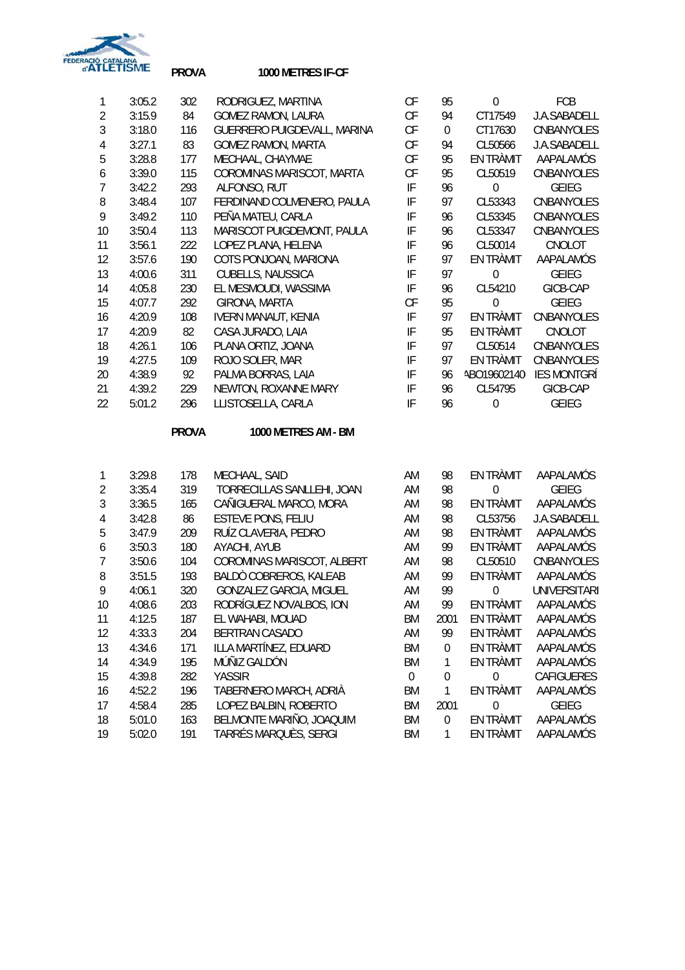

## **PROVA 1000 METRES IF-CF**

| 1              | 3:05.2 | 302 | RODRIGUEZ, MARTINA          | СF | 95       | $\theta$    | <b>FCB</b>          |
|----------------|--------|-----|-----------------------------|----|----------|-------------|---------------------|
| $\overline{2}$ | 3:15.9 | 84  | <b>GOMEZ RAMON, LAURA</b>   | СF | 94       | CT17549     | <b>J.A.SABADELL</b> |
| 3              | 3:18.0 | 116 | GUERRERO PUIGDEVALL, MARINA | СF | $\theta$ | CT17630     | CNBANYOLES          |
| 4              | 3:27.1 | 83  | <b>GOMEZ RAMON, MARTA</b>   | CF | 94       | CL50566     | J.A.SABADELL        |
| 5              | 3:28.8 | 177 | MECHAAL, CHAYMAE            | CF | 95       | EN TRÀMIT   | AAPALAMÓS           |
| 6              | 3:39.0 | 115 | COROMINAS MARISCOT, MARTA   | CF | 95       | CL50519     | CNBANYOLES          |
| 7              | 3:42.2 | 293 | ALFONSO, RUT                | IF | 96       | 0           | <b>GEIEG</b>        |
| 8              | 3:48.4 | 107 | FERDINAND COLMENERO, PAULA  | IF | 97       | CL53343     | CNBANYOLES          |
| 9              | 3:49.2 | 110 | PEÑA MATEU, CARLA           | IF | 96       | CL53345     | <b>CNBANYOLES</b>   |
| 10             | 3:50.4 | 113 | MARISCOT PUIGDEMONT, PAULA  | IF | 96       | CL53347     | CNBANYOLES          |
| 11             | 3:56.1 | 222 | LOPEZ PLANA, HELENA         | IF | 96       | CL50014     | CNOLOT              |
| 12             | 3:57.6 | 190 | COTS PONJOAN, MARIONA       | IF | 97       | EN TRÀMIT   | AAPALAMÓS           |
| 13             | 4:00.6 | 311 | CUBELLS, NAUSSICA           | IF | 97       | $\theta$    | <b>GEIEG</b>        |
| 14             | 4:05.8 | 230 | EL MESMOUDI, WASSIMA        | IF | 96       | CL54210     | GICB-CAP            |
| 15             | 4:07.7 | 292 | GIRONA, MARTA               | CF | 95       | $\Omega$    | <b>GEIEG</b>        |
| 16             | 4:20.9 | 108 | <b>IVERN MANAUT, KENIA</b>  | IF | 97       | EN TRÀMIT   | CNBANYOLES          |
| 17             | 4:20.9 | 82  | CASA JURADO, LAIA           | IF | 95       | EN TRÀMIT   | CNOLOT              |
| 18             | 4:26.1 | 106 | PLANA ORTIZ, JOANA          | IF | 97       | CL50514     | CNBANYOLES          |
| 19             | 4:27.5 | 109 | ROJO SOLER, MAR             | IF | 97       | EN TRÀMIT   | CNBANYOLES          |
| 20             | 4:38.9 | 92  | PALMA BORRAS, LAIA          | IF | 96       | ABO19602140 | <b>IES MONTGRI</b>  |
| 21             | 4:39.2 | 229 | NEWTON, ROXANNE MARY        | IF | 96       | CL54795     | GICB-CAP            |
| 22             | 5:01.2 | 296 | LLISTOSELLA, CARLA          | IF | 96       | $\theta$    | <b>GEIEG</b>        |
|                |        |     |                             |    |          |             |                     |

**PROVA 1000 METRES AM - BM** 

|    | 3:29.8 | 178 | MECHAAL, SAID                  | AM        | 98          | EN TRÀMIT | AAPALAMÓS           |
|----|--------|-----|--------------------------------|-----------|-------------|-----------|---------------------|
| 2  | 3:35.4 | 319 | TORRECILLAS SANLLEHI, JOAN     | AM        | 98          | $\Omega$  | <b>GEIEG</b>        |
| 3  | 3:36.5 | 165 | CAÑIGUERAL MARCO, MORA         | AM        | 98          | EN TRÀMIT | AAPALAMÓS           |
| 4  | 3:42.8 | 86  | <b>ESTEVE PONS, FELIU</b>      | AM        | 98          | CL53756   | J.A.SABADELL        |
| 5  | 3:47.9 | 209 | RUÍZ CLAVERIA, PEDRO           | AM        | 98          | EN TRÀMIT | AAPALAMÓS           |
| 6  | 3:50.3 | 180 | AYACHI, AYUB                   | AM        | 99          | EN TRÀMIT | AAPALAMÓS           |
|    | 3:50.6 | 104 | COROMINAS MARISCOT, ALBERT     | AM        | 98          | CL50510   | CNBANYOLES          |
| 8  | 3:51.5 | 193 | BALDÒ COBREROS, KALEAB         | AM        | 99          | EN TRÀMIT | AAPALAMÓS           |
| 9  | 4:06.1 | 320 | <b>GONZALEZ GARCIA, MIGUEL</b> | AM        | 99          | $\Omega$  | <b>UNIVERSITARI</b> |
| 10 | 4:08.6 | 203 | RODRÍGUEZ NOVALBOS, ION        | AM        | 99          | EN TRÀMIT | AAPALAMÓS           |
| 11 | 4:12.5 | 187 | EL WAHABI, MOUAD               | BM        | 2001        | EN TRÀMIT | AAPALAMÓS           |
| 12 | 4:33.3 | 204 | <b>BERTRAN CASADO</b>          | AM        | 99          | EN TRÀMIT | AAPALAMÓS           |
| 13 | 4:34.6 | 171 | ILLA MARTÍNEZ, EDUARD          | BM        | 0           | EN TRÀMIT | AAPALAMÓS           |
| 14 | 4:34.9 | 195 | MÚÑIZ GALDÓN                   | BM        | 1           | EN TRÀMIT | AAPALAMÓS           |
| 15 | 4:39.8 | 282 | <b>YASSIR</b>                  | $\Omega$  | 0           | 0         | <b>CAFIGUERES</b>   |
| 16 | 4:52.2 | 196 | TABERNERO MARCH, ADRIA         | BM        | 1           | EN TRÀMIT | AAPALAMÓS           |
| 17 | 4:58.4 | 285 | LOPEZ BALBIN, ROBERTO          | BM        | 2001        | $\Omega$  | <b>GEIEG</b>        |
| 18 | 5:01.0 | 163 | BELMONTE MARIÑO, JOAQUIM       | BM        | $\mathbf 0$ | EN TRÀMIT | AAPALAMÓS           |
| 19 | 5:02.0 | 191 | TARRÉS MARQUÈS, SERGI          | <b>BM</b> | 1           | EN TRÀMIT | AAPALAMÓS           |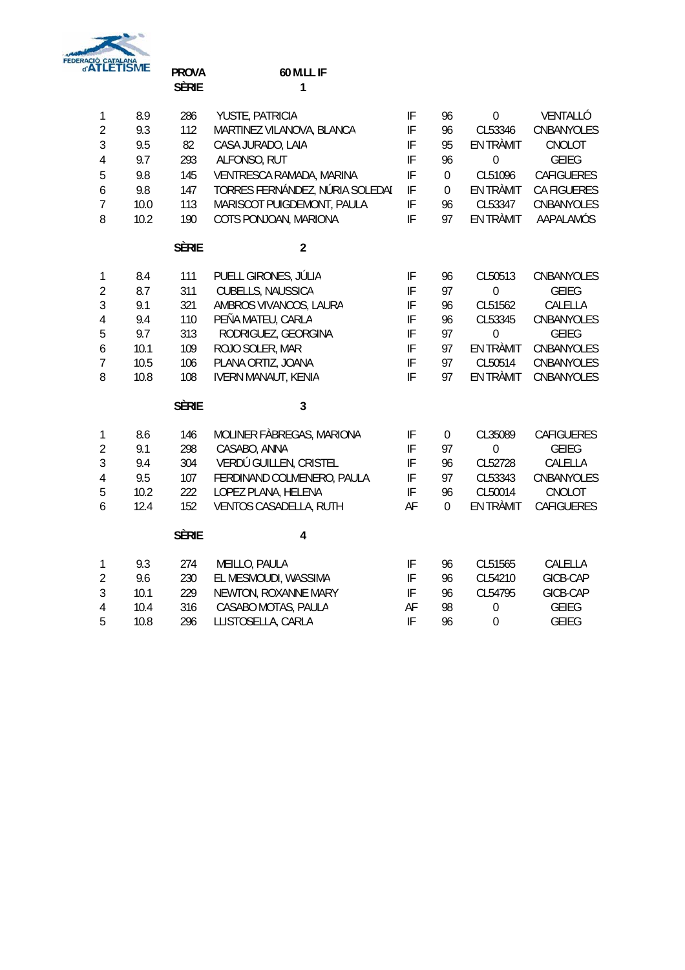

|                          | <b>TLETISME</b> | <b>PROVA</b><br><b>SÈRIE</b> | 60 M.LL IF<br>1                 |                            |             |                  |                    |
|--------------------------|-----------------|------------------------------|---------------------------------|----------------------------|-------------|------------------|--------------------|
| $\mathbf{1}$             | 8.9             | 286                          | YUSTE, PATRICIA                 | IF                         | 96          | $\boldsymbol{0}$ | VENTALLÓ           |
| $\overline{2}$           | 9.3             | 112                          | MARTINEZ VILANOVA, BLANCA       | $\ensuremath{\mathsf{IF}}$ | 96          | CL53346          | CNBANYOLES         |
| 3                        | 9.5             | 82                           | CASA JURADO, LAIA               | IF                         | 95          | EN TRÀMIT        | CNOLOT             |
| 4                        | 9.7             | 293                          | ALFONSO, RUT                    | IF                         | 96          | $\mathbf 0$      | <b>GEIEG</b>       |
| $\overline{5}$           | 9.8             | 145                          | VENTRESCA RAMADA, MARINA        | IF                         | $\mathbf 0$ | CL51096          | <b>CAFIGUERES</b>  |
| $\boldsymbol{6}$         | 9.8             | 147                          | TORRES FERNÁNDEZ, NÚRIA SOLEDAI | IF                         | $\mathbf 0$ | EN TRÀMIT        | <b>CA FIGUERES</b> |
| $\overline{7}$           | 10.0            | 113                          | MARISCOT PUIGDEMONT, PAULA      | IF                         | 96          | CL53347          | CNBANYOLES         |
| 8                        | 10.2            | 190                          | COTS PONJOAN, MARIONA           | IF                         | 97          | EN TRÀMIT        | AAPALAMÓS          |
|                          |                 | <b>SÈRIE</b>                 | $\overline{2}$                  |                            |             |                  |                    |
| $\mathbf{1}$             | 8.4             | 111                          | PUELL GIRONES, JÚLIA            | IF                         | 96          | CL50513          | CNBANYOLES         |
| $\sqrt{2}$               | 8.7             | 311                          | CUBELLS, NAUSSICA               | IF                         | 97          | $\mathbf 0$      | <b>GEIEG</b>       |
| $\overline{3}$           | 9.1             | 321                          | AMBROS VIVANCOS, LAURA          | $\ensuremath{\mathsf{IF}}$ | 96          | CL51562          | CALELLA            |
| $\sqrt{4}$               | 9.4             | 110                          | PEÑA MATEU, CARLA               | IF                         | 96          | CL53345          | CNBANYOLES         |
| 5                        | 9.7             | 313                          | RODRIGUEZ, GEORGINA             | IF                         | 97          | $\mathbf 0$      | <b>GEIEG</b>       |
| $\boldsymbol{6}$         | 10.1            | 109                          | ROJO SOLER, MAR                 | IF                         | 97          | EN TRÀMIT        | CNBANYOLES         |
| $\overline{\mathcal{I}}$ | 10.5            | 106                          | PLANA ORTIZ, JOANA              | IF                         | 97          | CL50514          | CNBANYOLES         |
| 8                        | 10.8            | 108                          | <b>IVERN MANAUT, KENIA</b>      | $\ensuremath{\mathsf{IF}}$ | 97          | EN TRÀMIT        | CNBANYOLES         |
|                          |                 | <b>SÈRIE</b>                 | 3                               |                            |             |                  |                    |
| $\mathbf{1}$             | 8.6             | 146                          | MOLINER FÀBREGAS, MARIONA       | IF                         | $\mathbf 0$ | CL35089          | CAFIGUERES         |
| $\overline{2}$           | 9.1             | 298                          | CASABO, ANNA                    | $\ensuremath{\mathsf{IF}}$ | 97          | $\boldsymbol{0}$ | <b>GEIEG</b>       |
| $\mathfrak{Z}$           | 9.4             | 304                          | VERDÚ GUILLEN, CRISTEL          | IF                         | 96          | CL52728          | CALELLA            |
| $\overline{4}$           | 9.5             | 107                          | FERDINAND COLMENERO, PAULA      | IF                         | 97          | CL53343          | CNBANYOLES         |
| 5                        | 10.2            | 222                          | LOPEZ PLANA, HELENA             | IF                         | 96          | CL50014          | CNOLOT             |
| 6                        | 12.4            | 152                          | VENTOS CASADELLA, RUTH          | AF                         | $\mathbf 0$ | EN TRÀMIT        | CAFIGUERES         |
|                          |                 | <b>SÈRIE</b>                 | 4                               |                            |             |                  |                    |
| $\mathbf 1$              | 9.3             | 274                          | MEILLO, PAULA                   | IF                         | 96          | CL51565          | CALELLA            |
| $\sqrt{2}$               | 9.6             | 230                          | EL MESMOUDI, WASSIMA            | $\ensuremath{\mathsf{IF}}$ | 96          | CL54210          | GICB-CAP           |
| 3                        | 10.1            | 229                          | NEWTON, ROXANNE MARY            | $\ensuremath{\mathsf{IF}}$ | 96          | CL54795          | GICB-CAP           |
| $\overline{4}$           | 10.4            | 316                          | CASABO MOTAS, PAULA             | AF                         | 98          | $\mathbf 0$      | <b>GEIEG</b>       |
| 5                        | 10.8            | 296                          | LLISTOSELLA, CARLA              | IF                         | 96          | $\mathbf 0$      | <b>GEIEG</b>       |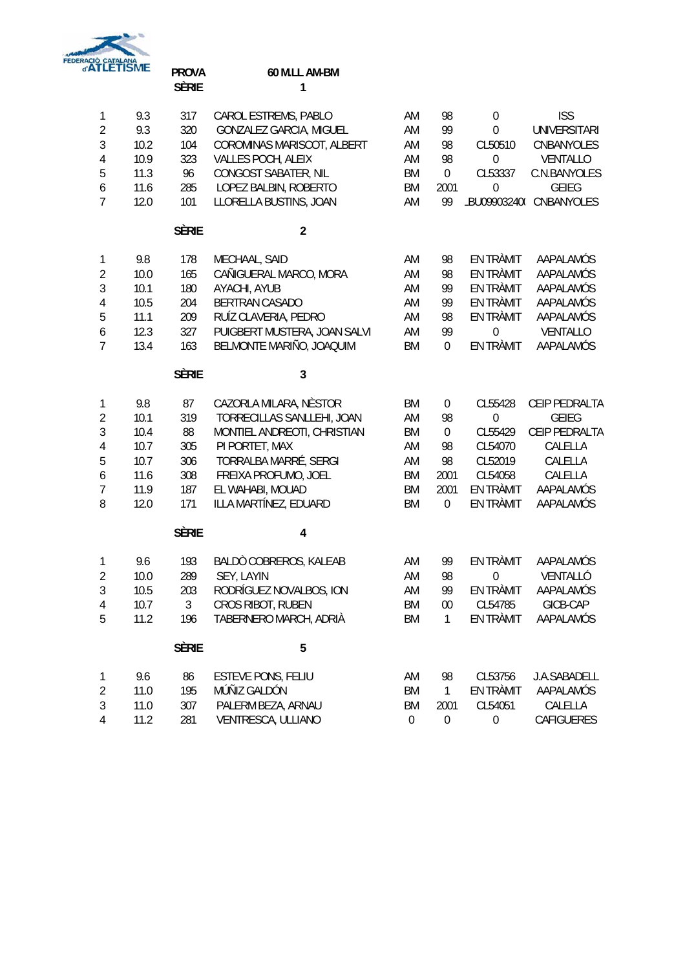

## **PROVA 60 M.LL AM-BM** SÈRIE 1

| 1                | 9.3  | 317          | CAROL ESTREMS, PABLO         | AM        | 98               | $\boldsymbol{0}$ | <b>ISS</b>              |
|------------------|------|--------------|------------------------------|-----------|------------------|------------------|-------------------------|
| $\overline{2}$   | 9.3  | 320          | GONZALEZ GARCIA, MIGUEL      | AM        | 99               | $\mathbf 0$      | <b>UNIVERSITARI</b>     |
| $\sqrt{3}$       | 10.2 | 104          | COROMINAS MARISCOT, ALBERT   | AM        | 98               | CL50510          | CNBANYOLES              |
| $\overline{4}$   | 10.9 | 323          | VALLES POCH, ALEIX           | AM        | 98               | $\mathbf 0$      | VENTALLO                |
| 5                | 11.3 | 96           | CONGOST SABATER, NIL         | <b>BM</b> | $\boldsymbol{0}$ | CL53337          | C.N.BANYOLES            |
| 6                | 11.6 | 285          | LOPEZ BALBIN, ROBERTO        | BM        | 2001             | $\mathbf{0}$     | <b>GEIEG</b>            |
| $\overline{7}$   | 12.0 | 101          | LLORELLA BUSTINS, JOAN       | AM        | 99               |                  | LBU09903240( CNBANYOLES |
|                  |      | <b>SÈRIE</b> | $\overline{2}$               |           |                  |                  |                         |
| $\mathbf{1}$     | 9.8  | 178          | MECHAAL, SAID                | AM        | 98               | EN TRÀMIT        | AAPALAMÓS               |
| $\overline{2}$   | 10.0 | 165          | CAÑIGUERAL MARCO, MORA       | AM        | 98               | EN TRÀMIT        | AAPALAMÓS               |
| $\sqrt{3}$       | 10.1 | 180          | AYACHI, AYUB                 | AM        | 99               | EN TRÀMIT        | AAPALAMÓS               |
| $\overline{4}$   | 10.5 | 204          | <b>BERTRAN CASADO</b>        | AM        | 99               | EN TRÀMIT        | AAPALAMÓS               |
| 5                | 11.1 | 209          | RUÍZ CLAVERIA, PEDRO         | AM        | 98               | EN TRÀMIT        | AAPALAMÓS               |
| $\boldsymbol{6}$ | 12.3 | 327          | PUIGBERT MUSTERA, JOAN SALVI | AM        | 99               | $\mathbf 0$      | VENTALLO                |
| $\overline{7}$   | 13.4 | 163          | BELMONTE MARIÑO, JOAQUIM     | <b>BM</b> | $\boldsymbol{0}$ | EN TRÀMIT        | AAPALAMÓS               |
|                  |      | <b>SÈRIE</b> | $\overline{3}$               |           |                  |                  |                         |
| $\mathbf{1}$     | 9.8  | 87           | CAZORLA MILARA, NÈSTOR       | <b>BM</b> | $\pmb{0}$        | CL55428          | CEIP PEDRALTA           |
| $\overline{2}$   | 10.1 | 319          | TORRECILLAS SANLLEHI, JOAN   | AM        | 98               | $\mathbf 0$      | <b>GEIEG</b>            |
| $\sqrt{3}$       | 10.4 | 88           | MONTIEL ANDREOTI, CHRISTIAN  | <b>BM</b> | $\boldsymbol{0}$ | CL55429          | CEIP PEDRALTA           |
| $\overline{4}$   | 10.7 | 305          | PI PORTET, MAX               | AM        | 98               | CL54070          | CALELLA                 |
| 5                | 10.7 | 306          | TORRALBA MARRÉ, SERGI        | AM        | 98               | CL52019          | CALELLA                 |
| 6                | 11.6 | 308          | FREIXA PROFUMO, JOEL         | BM        | 2001             | CL54058          | CALELLA                 |
| $\overline{7}$   | 11.9 | 187          | EL WAHABI, MOUAD             | BM        | 2001             | EN TRÀMIT        | AAPALAMÓS               |
| 8                | 12.0 | 171          | ILLA MARTÍNEZ, EDUARD        | <b>BM</b> | $\mathbf 0$      | EN TRÀMIT        | AAPALAMÓS               |
|                  |      | <b>SÈRIE</b> | 4                            |           |                  |                  |                         |
| $\mathbf{1}$     | 9.6  | 193          | BALDÒ COBREROS, KALEAB       | AM        | 99               | EN TRÀMIT        | AAPALAMÓS               |
| $\overline{2}$   | 10.0 | 289          | SEY, LAYIN                   | AM        | 98               | 0                | VENTALLÓ                |
| $\mathfrak{Z}$   | 10.5 | 203          | RODRÍGUEZ NOVALBOS, ION      | AM        | 99               | EN TRÀMIT        | AAPALAMÓS               |
| 4                | 10.7 | 3            | CROS RIBOT, RUBEN            | <b>BM</b> | 00               | CL54785          | GICB-CAP                |
| 5                | 11.2 | 196          | TABERNERO MARCH, ADRIÀ       | <b>BM</b> | 1                | EN TRÀMIT        | AAPALAMÓS               |
|                  |      | <b>SÈRIE</b> | 5                            |           |                  |                  |                         |
| $\mathbf{1}$     | 9.6  | 86           | <b>ESTEVE PONS, FELIU</b>    | AM        | 98               | CL53756          | J.A.SABADELL            |
| $\overline{2}$   | 11.0 | 195          | MÚÑIZ GALDÓN                 | <b>BM</b> | $\mathbf{1}$     | EN TRÀMIT        | AAPALAMÓS               |
| 3                | 11.0 | 307          | PALERM BEZA, ARNAU           | <b>BM</b> | 2001             | CL54051          | CALELLA                 |
| 4                | 11.2 | 281          | VENTRESCA, ULLIANO           | $\pmb{0}$ | $\boldsymbol{0}$ | $\boldsymbol{0}$ | CAFIGUERES              |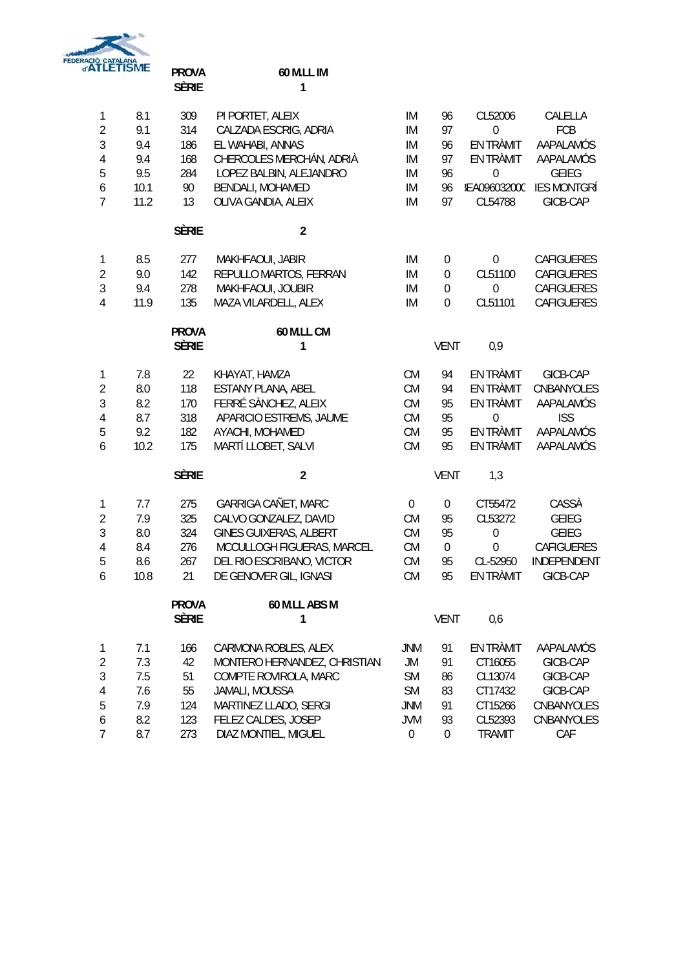

## **PROVA 60 M.LL IM** SÈRIE 1

| $\mathbf{1}$     | 8.1  | 309          | PI PORTET, ALEIX             | IM               | 96               | CL52006             | CALELLA            |
|------------------|------|--------------|------------------------------|------------------|------------------|---------------------|--------------------|
| $\overline{2}$   | 9.1  | 314          | CALZADA ESCRIG, ADRIA        | IM               | 97               | $\theta$            | FCB                |
| $\sqrt{3}$       | 9.4  | 186          | EL WAHABI, ANNAS             | IM               | 96               | EN TRÀMIT           | AAPALAMÓS          |
| $\overline{4}$   | 9.4  | 168          | CHERCOLES MERCHÁN, ADRIÀ     | IM               | 97               | EN TRÀMIT           | AAPALAMÓS          |
| 5                | 9.5  | 284          | LOPEZ BALBIN, ALEJANDRO      | IM               | 96               | $\mathbf 0$         | <b>GEIEG</b>       |
| $\boldsymbol{6}$ | 10.1 | 90           | BENDALI, MOHAMED             | IM               | 96               | <b>IEA096032000</b> | <b>IES MONTGRÍ</b> |
| $\overline{7}$   | 11.2 | 13           | OLIVA GANDIA, ALEIX          | IM               | 97               | CL54788             | GICB-CAP           |
|                  |      | <b>SÈRIE</b> | $\overline{2}$               |                  |                  |                     |                    |
| $\mathbf{1}$     | 8.5  | 277          | MAKHFAOUI, JABIR             | IM               | $\boldsymbol{0}$ | $\mathbf 0$         | <b>CAFIGUERES</b>  |
| $\overline{2}$   | 9.0  | 142          | REPULLO MARTOS, FERRAN       | IM               | $\boldsymbol{0}$ | CL51100             | <b>CAFIGUERES</b>  |
| $\mathfrak{Z}$   | 9.4  | 278          | MAKHFAOUI, JOUBIR            | IM               | $\boldsymbol{0}$ | $\mathbf 0$         | CAFIGUERES         |
| 4                | 11.9 | 135          | MAZA VILARDELL, ALEX         | IM               | $\mathbf 0$      | CL51101             | <b>CAFIGUERES</b>  |
|                  |      | <b>PROVA</b> | 60 M.LL CM                   |                  |                  |                     |                    |
|                  |      | <b>SÈRIE</b> | 1                            |                  | <b>VENT</b>      | 0,9                 |                    |
| 1                | 7.8  | 22           | KHAYAT, HAMZA                | <b>CM</b>        | 94               | EN TRÀMIT           | GICB-CAP           |
| $\overline{2}$   | 8.0  | 118          | ESTANY PLANA, ABEL           | <b>CM</b>        | 94               | EN TRÀMIT           | CNBANYOLES         |
| $\sqrt{3}$       | 8.2  | 170          | FERRÉ SÀNCHEZ, ALEIX         | <b>CM</b>        | 95               | <b>EN TRÀMIT</b>    | AAPALAMÓS          |
| $\overline{4}$   | 8.7  | 318          | APARICIO ESTREMS, JAUME      | <b>CM</b>        | 95               | 0                   | <b>ISS</b>         |
| 5                | 9.2  | 182          | AYACHI, MOHAMED              | <b>CM</b>        | 95               | EN TRÀMIT           | AAPALAMÓS          |
| 6                | 10.2 | 175          | MARTÍ LLOBET, SALVI          | <b>CM</b>        | 95               | EN TRÀMIT           | AAPALAMÓS          |
|                  |      | <b>SÈRIE</b> | $\overline{2}$               |                  | <b>VENT</b>      | 1,3                 |                    |
| 1                | 7.7  | 275          | GARRIGA CAÑET, MARC          | $\mathbf 0$      | $\boldsymbol{0}$ | CT55472             | CASSÀ              |
| $\sqrt{2}$       | 7.9  | 325          | CALVO GONZALEZ, DAVID        | <b>CM</b>        | 95               | CL53272             | <b>GEIEG</b>       |
| 3                | 8.0  | 324          | GINES GUIXERAS, ALBERT       | <b>CM</b>        | 95               | $\mathbf 0$         | <b>GEIEG</b>       |
| $\overline{4}$   | 8.4  | 276          | MCCULLOGH FIGUERAS, MARCEL   | <b>CM</b>        | $\boldsymbol{0}$ | $\overline{0}$      | <b>CAFIGUERES</b>  |
| 5                | 8.6  | 267          | DEL RIO ESCRIBANO, VICTOR    | <b>CM</b>        | 95               | CL-52950            | INDEPENDENT        |
| 6                | 10.8 | 21           | DE GENOVER GIL, IGNASI       | <b>CM</b>        | 95               | EN TRÀMIT           | GICB-CAP           |
|                  |      | <b>PROVA</b> | 60 M.LL ABS M                |                  |                  |                     |                    |
|                  |      | Sèrie        | 1                            |                  | <b>VENT</b>      | 0,6                 |                    |
| 1                | 7.1  | 166          | CARMONA ROBLES, ALEX         | JNM              | 91               | EN TRÀMIT           | AAPALAMÓS          |
| $\sqrt{2}$       | 7.3  | 42           | MONTERO HERNANDEZ, CHRISTIAN | JM               | 91               | CT16055             | GICB-CAP           |
| 3                | 7.5  | 51           | COMPTE ROVIROLA, MARC        | <b>SM</b>        | 86               | CL13074             | GICB-CAP           |
| 4                | 7.6  | 55           | JAMALI, MOUSSA               | <b>SM</b>        | 83               | CT17432             | GICB-CAP           |
| 5                | 7.9  | 124          | MARTINEZ LLADO, SERGI        | JNM              | 91               | CT15266             | CNBANYOLES         |
| 6                | 8.2  | 123          | FELEZ CALDES, JOSEP          | <b>JVM</b>       | 93               | CL52393             | CNBANYOLES         |
| 7                | 8.7  | 273          | DIAZ MONTIEL, MIGUEL         | $\boldsymbol{0}$ | $\boldsymbol{0}$ | <b>TRAMIT</b>       | CAF                |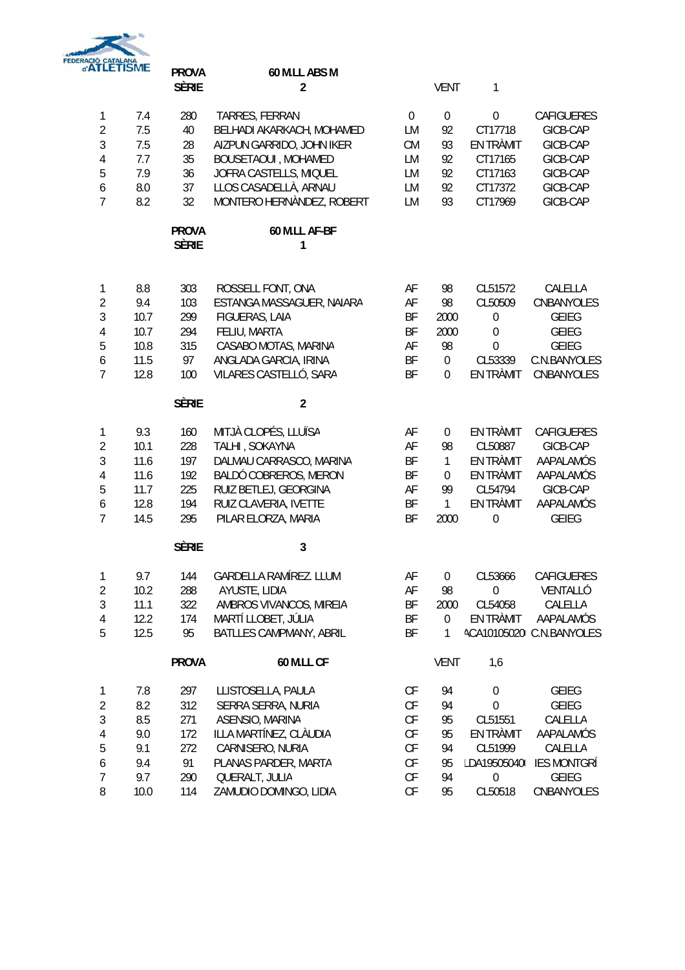

|                  | <b>TLETISME</b> | <b>PROVA</b><br><b>SÈRIE</b> | 60 M.LL ABS M<br>$\overline{2}$        |                  | <b>VENT</b>      | 1                           |                                    |
|------------------|-----------------|------------------------------|----------------------------------------|------------------|------------------|-----------------------------|------------------------------------|
| $\mathbf{1}$     | 7.4             | 280                          | TARRES, FERRAN                         | $\boldsymbol{0}$ | $\boldsymbol{0}$ | $\boldsymbol{0}$            | <b>CAFIGUERES</b>                  |
| $\overline{2}$   | 7.5             | 40                           | BELHADI AKARKACH, MOHAMED              | LM               | 92               | CT17718                     | GICB-CAP                           |
| $\mathfrak{Z}$   | 7.5             | 28                           | AIZPUN GARRIDO, JOHN IKER              | <b>CM</b>        | 93               | EN TRÀMIT                   | GICB-CAP                           |
| 4                | 7.7             | 35                           | <b>BOUSETAOUI, MOHAMED</b>             | LM               | 92               | CT17165                     | GICB-CAP                           |
| 5                | 7.9             | 36                           | JOFRA CASTELLS, MIQUEL                 | LM               | 92               | CT17163                     | GICB-CAP                           |
| 6                | 8.0             | 37                           | LLOS CASADELLÀ, ARNAU                  | LM               | 92               | CT17372                     | GICB-CAP                           |
| $\overline{7}$   | 8.2             | 32                           | MONTERO HERNÀNDEZ, ROBERT              | LM               | 93               | CT17969                     | GICB-CAP                           |
|                  |                 | <b>PROVA</b><br><b>SÈRIE</b> | 60 M.LL AF-BF<br>$\mathbf{1}$          |                  |                  |                             |                                    |
| $\mathbf{1}$     | 8.8             | 303                          | ROSSELL FONT, ONA                      | AF               | 98               | CL51572                     | CALELLA                            |
| $\sqrt{2}$       | 9.4             | 103                          | ESTANGA MASSAGUER, NAIARA              | AF               | 98               | CL50509                     | CNBANYOLES                         |
| $\mathfrak{Z}$   | 10.7            | 299                          | FIGUERAS, LAIA                         | BF               | 2000             | $\boldsymbol{0}$            | <b>GEIEG</b>                       |
| 4                | 10.7            | 294                          | FELIU, MARTA                           | BF               | 2000             | $\mathbf 0$                 | <b>GEIEG</b>                       |
| 5                | 10.8            | 315                          | CASABO MOTAS, MARINA                   | AF               | 98               | $\mathbf 0$                 | <b>GEIEG</b>                       |
| $\boldsymbol{6}$ | 11.5            | 97                           | ANGLADA GARCIA, IRINA                  | BF               | $\boldsymbol{0}$ | CL53339                     | C.N.BANYOLES                       |
| $\overline{7}$   | 12.8            | 100                          | VILARES CASTELLÓ, SARA                 | BF               | $\boldsymbol{0}$ | EN TRÀMIT                   | CNBANYOLES                         |
|                  |                 | <b>SÈRIE</b>                 | $\overline{2}$                         |                  |                  |                             |                                    |
| 1                | 9.3             | 160                          | MITJÀ CLOPÉS, LLUÏSA                   | AF               | 0                | EN TRÀMIT                   | <b>CAFIGUERES</b>                  |
| $\sqrt{2}$       | 10.1            | 228                          | TALHI, SOKAYNA                         | AF               | 98               | CL50887                     | GICB-CAP                           |
| $\overline{3}$   | 11.6            | 197                          | DALMAU CARRASCO, MARINA                | ΒF               | $\mathbf{1}$     | EN TRÀMIT                   | AAPALAMÓS                          |
| $\sqrt{4}$       | 11.6            | 192                          | BALDÓ COBREROS, MERON                  | ΒF               | 0                | EN TRÀMIT                   | AAPALAMÓS                          |
| 5                | 11.7            | 225                          | RUIZ BETLEJ, GEORGINA                  | AF               | 99               | CL54794                     | GICB-CAP                           |
| 6                | 12.8            | 194                          | RUIZ CLAVERIA, IVETTE                  | BF               | $\mathbf{1}$     | EN TRÀMIT                   | AAPALAMÓS                          |
| $\overline{7}$   | 14.5            | 295                          | PILAR ELORZA, MARIA                    | BF               | 2000             | $\mathbf 0$                 | <b>GEIEG</b>                       |
|                  |                 | <b>SÈRIE</b>                 | 3                                      |                  |                  |                             |                                    |
| $\mathbf{1}$     | 9.7             | 144                          | GARDELLA RAMÍREZ. LLUM                 | AF               | $\overline{0}$   | CL53666                     | CAFIGUERES                         |
| 2                | 10.2            | 288                          | AYUSTE, LIDIA                          | AF               | 98               | $\overline{0}$              | VENTALLÓ                           |
| $\sqrt{3}$       | 11.1            | 322                          | AMBROS VIVANCOS, MIREIA                | ΒF               | 2000             | CL54058                     | CALELLA                            |
| $\overline{4}$   | 12.2            | 174                          | MARTÍ LLOBET, JÚLIA                    | ΒF               | $\boldsymbol{0}$ | EN TRÀMIT                   | AAPALAMÓS                          |
| 5                | 12.5            | 95                           | BATLLES CAMPMANY, ABRIL                | BF               | $\mathbf{1}$     |                             | ACA10105020I C.N.BANYOLES          |
|                  |                 | <b>PROVA</b>                 | <b>60 M.LL CF</b>                      |                  | <b>VENT</b>      | 1,6                         |                                    |
| 1                | 7.8             | 297                          | LLISTOSELLA, PAULA                     | CF               | 94               | $\boldsymbol{0}$            | GEIEG                              |
| $\sqrt{2}$       | 8.2             | 312                          | SERRA SERRA, NURIA                     | CF               | 94               | $\mathbf 0$                 | GEIEG                              |
| 3                | 8.5             | 271                          | ASENSIO, MARINA                        | CF               | 95               | CL51551                     | CALELLA                            |
| 4                | 9.0             | 172                          | ILLA MARTÍNEZ, CLÀUDIA                 | CF               | 95               | EN TRÀMIT                   | AAPALAMÓS                          |
| 5                | 9.1             | 272                          | CARNISERO, NURIA                       | CF               | 94               | CL51999                     | CALELLA                            |
| 6<br>7           | 9.4<br>9.7      | 91<br>290                    | PLANAS PARDER, MARTA<br>QUERALT, JULIA | CF<br>CF         | 95<br>94         | LDA195050400<br>$\mathbf 0$ | <b>IES MONTGRÍ</b><br><b>GEIEG</b> |
| 8                | 10.0            | 114                          | ZAMUDIO DOMINGO, LIDIA                 | CF               | 95               | CL50518                     | CNBANYOLES                         |
|                  |                 |                              |                                        |                  |                  |                             |                                    |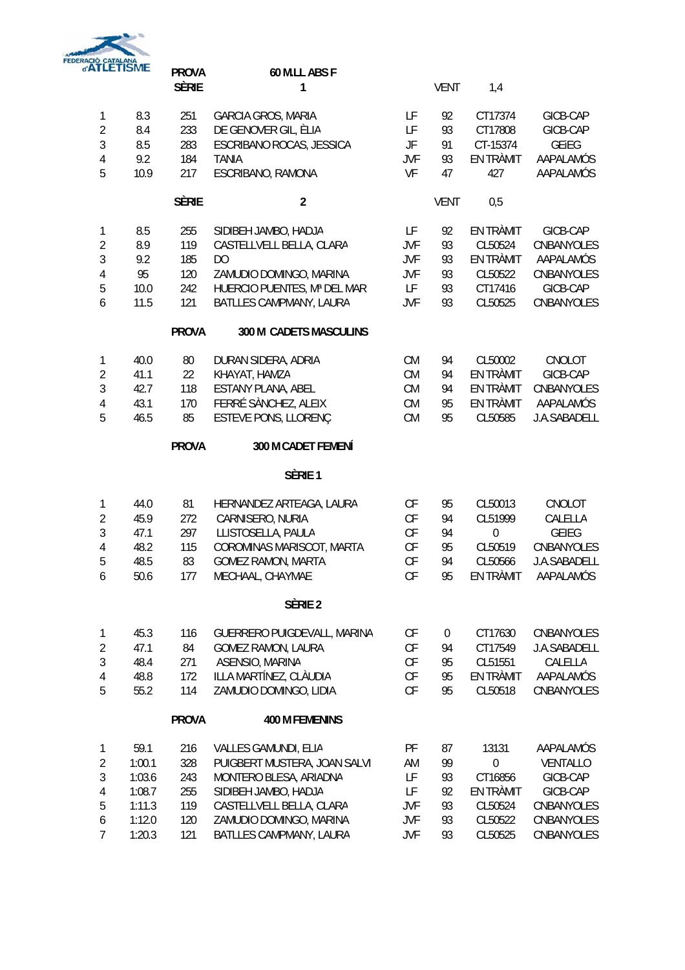

|                                                                                     | <b>CIÓ CATALANA<br/>ATLETÍSME</b>                                | <b>PROVA</b><br><b>SÈRIE</b>                  | 60 M.LL ABS F<br>1                                                                                                                                                                       |                                                               | <b>VENT</b>                            | 1,4                                                                                |                                                                                         |
|-------------------------------------------------------------------------------------|------------------------------------------------------------------|-----------------------------------------------|------------------------------------------------------------------------------------------------------------------------------------------------------------------------------------------|---------------------------------------------------------------|----------------------------------------|------------------------------------------------------------------------------------|-----------------------------------------------------------------------------------------|
| $\mathbf{1}$<br>$\overline{2}$<br>3<br>4<br>5                                       | 8.3<br>8.4<br>8.5<br>9.2<br>10.9                                 | 251<br>233<br>283<br>184<br>217               | <b>GARCIA GROS, MARIA</b><br>DE GENOVER GIL, ÈLIA<br>ESCRIBANO ROCAS, JESSICA<br><b>TANIA</b><br>ESCRIBANO, RAMONA                                                                       | LF<br>LF<br>JF<br><b>JVF</b><br>VF                            | 92<br>93<br>91<br>93<br>47             | CT17374<br>CT17808<br>CT-15374<br>EN TRÀMIT<br>427                                 | GICB-CAP<br>GICB-CAP<br>GEIEG<br>AAPALAMÓS<br>AAPALAMÓS                                 |
|                                                                                     |                                                                  | <b>SÈRIE</b>                                  | $\overline{2}$                                                                                                                                                                           |                                                               | <b>VENT</b>                            | 0,5                                                                                |                                                                                         |
| $\mathbf{1}$<br>$\overline{2}$<br>3<br>4<br>5<br>6                                  | 8.5<br>8.9<br>9.2<br>95<br>10.0<br>11.5                          | 255<br>119<br>185<br>120<br>242<br>121        | SIDIBEH JAMBO, HADJA<br>CASTELLVELL BELLA, CLARA<br>DO<br>ZAMUDIO DOMINGO, MARINA<br>HUERCIO PUENTES, Mª DEL MAR<br>BATLLES CAMPMANY, LAURA                                              | LF<br><b>JVF</b><br>JVF<br>JVF<br>LF<br><b>JVF</b>            | 92<br>93<br>93<br>93<br>93<br>93       | EN TRÀMIT<br>CL50524<br>EN TRÀMIT<br>CL50522<br>CT17416<br>CL50525                 | GICB-CAP<br>CNBANYOLES<br>AAPALAMÓS<br>CNBANYOLES<br>GICB-CAP<br>CNBANYOLES             |
|                                                                                     |                                                                  | <b>PROVA</b>                                  | 300 M CADETS MASCULINS                                                                                                                                                                   |                                                               |                                        |                                                                                    |                                                                                         |
| 1<br>$\overline{2}$<br>$\mathfrak{Z}$<br>4<br>5                                     | 40.0<br>41.1<br>42.7<br>43.1<br>46.5                             | 80<br>22<br>118<br>170<br>85                  | DURAN SIDERA, ADRIA<br>KHAYAT, HAMZA<br>ESTANY PLANA, ABEL<br>FERRÉ SÀNCHEZ, ALEIX<br>ESTEVE PONS, LLORENÇ                                                                               | <b>CM</b><br><b>CM</b><br><b>CM</b><br><b>CM</b><br><b>CM</b> | 94<br>94<br>94<br>95<br>95             | CL50002<br>EN TRÀMIT<br>EN TRÀMIT<br>EN TRÀMIT<br>CL50585                          | CNOLOT<br>GICB-CAP<br>CNBANYOLES<br>AAPALAMÓS<br>J.A.SABADELL                           |
|                                                                                     |                                                                  | <b>PROVA</b>                                  | 300 M CADET FEMENÍ                                                                                                                                                                       |                                                               |                                        |                                                                                    |                                                                                         |
|                                                                                     |                                                                  |                                               | SÈRIE 1                                                                                                                                                                                  |                                                               |                                        |                                                                                    |                                                                                         |
| $\mathbf{1}$<br>$\overline{2}$<br>$\mathfrak{Z}$<br>$\sqrt{4}$<br>5<br>6            | 44.0<br>45.9<br>47.1<br>48.2<br>48.5<br>50.6                     | 81<br>272<br>297<br>115<br>83<br>177          | HERNANDEZ ARTEAGA, LAURA<br>CARNISERO, NURIA<br>LLISTOSELLA, PAULA<br>COROMINAS MARISCOT, MARTA<br><b>GOMEZ RAMON, MARTA</b><br>MECHAAL, CHAYMAE                                         | CF<br>CF<br>CF<br>CF<br>CF<br>CF                              | 95<br>94<br>94<br>95<br>94<br>95       | CL50013<br>CL51999<br>$\mathbf 0$<br>CL50519<br>CL50566<br>EN TRÀMIT               | CNOLOT<br>CALELLA<br><b>GEIEG</b><br>CNBANYOLES<br>J.A.SABADELL<br>AAPALAMÓS            |
|                                                                                     |                                                                  |                                               | SÈRIE <sub>2</sub>                                                                                                                                                                       |                                                               |                                        |                                                                                    |                                                                                         |
| 1<br>$\overline{2}$<br>3<br>$\overline{4}$<br>5                                     | 45.3<br>47.1<br>48.4<br>48.8<br>55.2                             | 116<br>84<br>271<br>172<br>114                | GUERRERO PUIGDEVALL, MARINA<br><b>GOMEZ RAMON, LAURA</b><br>ASENSIO, MARINA<br>ILLA MARTÍNEZ, CLÀUDIA<br>ZAMUDIO DOMINGO, LIDIA                                                          | CF<br><b>CF</b><br>CF<br><b>CF</b><br>CF                      | 0<br>94<br>95<br>95<br>95              | CT17630<br>CT17549<br>CL51551<br>EN TRÀMIT<br>CL50518                              | CNBANYOLES<br>J.A.SABADELL<br>CALELLA<br>AAPALAMÓS<br>CNBANYOLES                        |
|                                                                                     |                                                                  | <b>PROVA</b>                                  | <b>400 M FEMENINS</b>                                                                                                                                                                    |                                                               |                                        |                                                                                    |                                                                                         |
| 1<br>$\overline{2}$<br>$\mathfrak{Z}$<br>$\overline{4}$<br>5<br>6<br>$\overline{7}$ | 59.1<br>1:00.1<br>1:03.6<br>1:08.7<br>1:11.3<br>1:12.0<br>1:20.3 | 216<br>328<br>243<br>255<br>119<br>120<br>121 | VALLES GAMUNDI, ELIA<br>PUIGBERT MUSTERA, JOAN SALVI<br>MONTERO BLESA, ARIADNA<br>SIDIBEH JAMBO, HADJA<br>CASTELLVELL BELLA, CLARA<br>ZAMUDIO DOMINGO, MARINA<br>BATLLES CAMPMANY, LAURA | PF<br>AM<br>LF<br>LF<br>JVF<br>JVF<br>JVF                     | 87<br>99<br>93<br>92<br>93<br>93<br>93 | 13131<br>$\boldsymbol{0}$<br>CT16856<br>EN TRÀMIT<br>CL50524<br>CL50522<br>CL50525 | AAPALAMÓS<br>VENTALLO<br>GICB-CAP<br>GICB-CAP<br>CNBANYOLES<br>CNBANYOLES<br>CNBANYOLES |
|                                                                                     |                                                                  |                                               |                                                                                                                                                                                          |                                                               |                                        |                                                                                    |                                                                                         |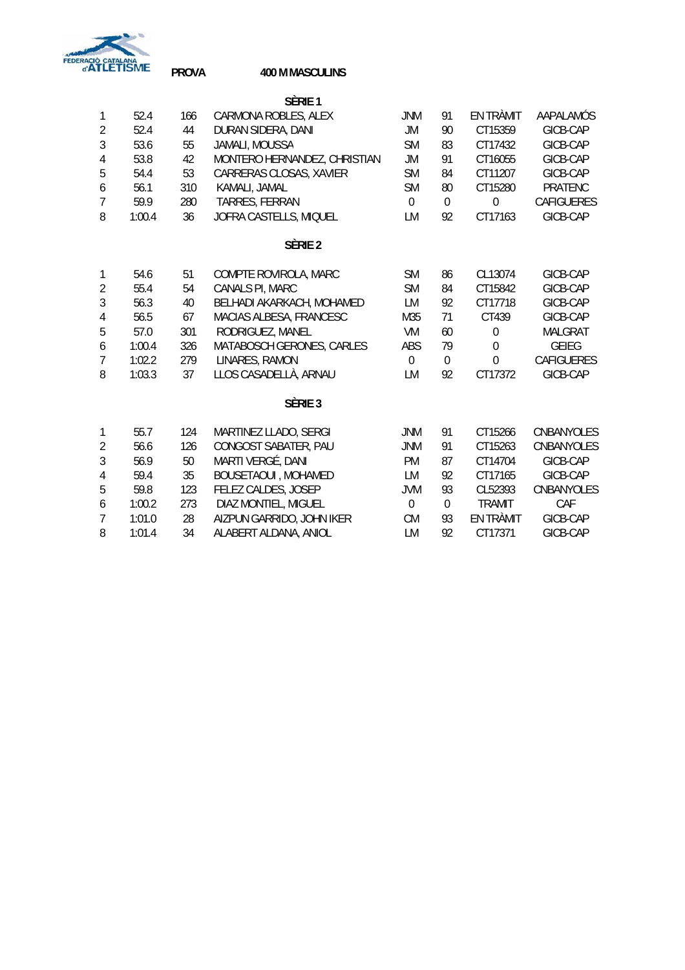

**PROVA 400 M MASCULINS**

|                  |        |     | Sèrie 1                      |                |             |                |                   |
|------------------|--------|-----|------------------------------|----------------|-------------|----------------|-------------------|
| $\mathbf{1}$     | 52.4   | 166 | CARMONA ROBLES, ALEX         | <b>JNM</b>     | 91          | EN TRÀMIT      | AAPALAMÓS         |
| $\overline{2}$   | 52.4   | 44  | DURAN SIDERA, DANI           | <b>JM</b>      | 90          | CT15359        | GICB-CAP          |
| $\mathfrak{Z}$   | 53.6   | 55  | JAMALI, MOUSSA               | <b>SM</b>      | 83          | CT17432        | GICB-CAP          |
| $\overline{4}$   | 53.8   | 42  | MONTERO HERNANDEZ, CHRISTIAN | JM             | 91          | CT16055        | GICB-CAP          |
| 5                | 54.4   | 53  | CARRERAS CLOSAS, XAVIER      | <b>SM</b>      | 84          | CT11207        | GICB-CAP          |
| 6                | 56.1   | 310 | KAMALI, JAMAL                | <b>SM</b>      | 80          | CT15280        | PRATENC           |
| 7                | 59.9   | 280 | TARRES, FERRAN               | $\mathbf 0$    | $\mathbf 0$ | $\mathbf 0$    | <b>CAFIGUERES</b> |
| 8                | 1:00.4 | 36  | JOFRA CASTELLS, MIQUEL       | LM             | 92          | CT17163        | GICB-CAP          |
|                  |        |     | SÈRIE <sub>2</sub>           |                |             |                |                   |
| 1                | 54.6   | 51  | COMPTE ROVIROLA, MARC        | <b>SM</b>      | 86          | CL13074        | GICB-CAP          |
| $\overline{2}$   | 55.4   | 54  | CANALS PI, MARC              | <b>SM</b>      | 84          | CT15842        | GICB-CAP          |
| $\mathfrak{Z}$   | 56.3   | 40  | BELHADI AKARKACH, MOHAMED    | LM             | 92          | CT17718        | GICB-CAP          |
| 4                | 56.5   | 67  | MACIAS ALBESA, FRANCESC      | M35            | 71          | CT439          | GICB-CAP          |
| 5                | 57.0   | 301 | RODRIGUEZ, MANEL             | VM             | 60          | 0              | <b>MALGRAT</b>    |
| 6                | 1:00.4 | 326 | MATABOSCH GERONES, CARLES    | ABS            | 79          | $\overline{0}$ | <b>GEIEG</b>      |
| $\overline{7}$   | 1:02.2 | 279 | LINARES, RAMON               | $\Omega$       | 0           | $\overline{0}$ | <b>CAFIGUERES</b> |
| 8                | 1:03.3 | 37  | LLOS CASADELLÀ, ARNAU        | <b>LM</b>      | 92          | CT17372        | GICB-CAP          |
|                  |        |     | SÈRIE <sub>3</sub>           |                |             |                |                   |
| $\mathbf{1}$     | 55.7   | 124 | MARTINEZ LLADO, SERGI        | <b>JNM</b>     | 91          | CT15266        | CNBANYOLES        |
| $\overline{2}$   | 56.6   | 126 | CONGOST SABATER, PAU         | <b>JNM</b>     | 91          | CT15263        | CNBANYOLES        |
| $\mathfrak{Z}$   | 56.9   | 50  | MARTI VERGÉ, DANI            | <b>PM</b>      | 87          | CT14704        | GICB-CAP          |
| $\overline{4}$   | 59.4   | 35  | <b>BOUSETAOUI, MOHAMED</b>   | LM             | 92          | CT17165        | GICB-CAP          |
| 5                | 59.8   | 123 | FELEZ CALDES, JOSEP          | <b>JVM</b>     | 93          | CL52393        | CNBANYOLES        |
| $\boldsymbol{6}$ | 1:00.2 | 273 | DIAZ MONTIEL, MIGUEL         | $\overline{0}$ | $\mathbf 0$ | <b>TRAMIT</b>  | CAF               |
| $\overline{7}$   | 1:01.0 | 28  | AIZPUN GARRIDO, JOHN IKER    | <b>CM</b>      | 93          | EN TRÀMIT      | GICB-CAP          |
| 8                | 1:01.4 | 34  | ALABERT ALDANA, ANIOL        | <b>LM</b>      | 92          | CT17371        | GICB-CAP          |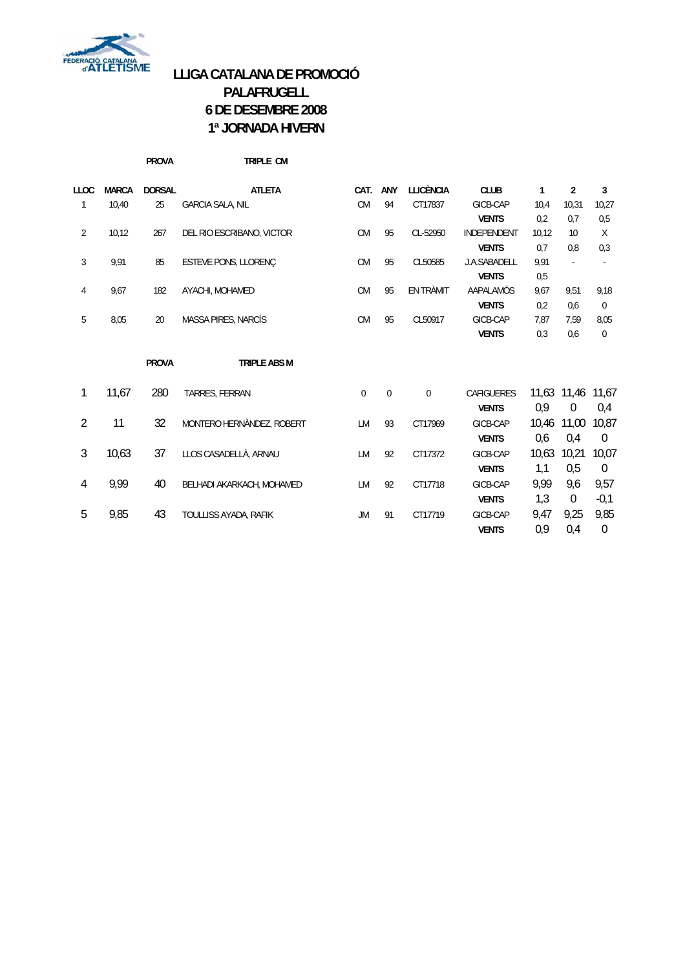

# **LLIGA CATALANA DE PROMOCIÓ PALAFRUGELL 6 DE DESEMBRE 2008 1ª JORNADA HIVERN**

|                |              | <b>PROVA</b>  | TRIPLE CM                 |             |             |                  |                    |       |                |                  |
|----------------|--------------|---------------|---------------------------|-------------|-------------|------------------|--------------------|-------|----------------|------------------|
| <b>LLOC</b>    | <b>MARCA</b> | <b>DORSAL</b> | <b>ATLETA</b>             | CAT.        | ANY         | <b>LLICÈNCIA</b> | <b>CLUB</b>        | 1     | $\overline{2}$ | 3                |
| 1              | 10,40        | 25            | <b>GARCIA SALA, NIL</b>   | <b>CM</b>   | 94          | CT17837          | GICB-CAP           | 10,4  | 10,31          | 10,27            |
|                |              |               |                           |             |             |                  | <b>VENTS</b>       | 0,2   | 0,7            | 0,5              |
| $\overline{2}$ | 10,12        | 267           | DEL RIO ESCRIBANO, VICTOR | <b>CM</b>   | 95          | CL-52950         | <b>INDEPENDENT</b> | 10,12 | 10             | $\mathsf{X}$     |
|                |              |               |                           |             |             |                  | <b>VENTS</b>       | 0,7   | 0.8            | 0,3              |
| 3              | 9,91         | 85            | ESTEVE PONS, LLORENÇ      | <b>CM</b>   | 95          | CL50585          | J.A.SABADELL       | 9,91  |                | $\blacksquare$   |
|                |              |               |                           |             |             |                  | <b>VENTS</b>       | 0,5   |                |                  |
| 4              | 9,67         | 182           | AYACHI, MOHAMED           | <b>CM</b>   | 95          | EN TRÀMIT        | AAPALAMÓS          | 9,67  | 9,51           | 9,18             |
|                |              |               |                           |             |             |                  | <b>VENTS</b>       | 0,2   | 0,6            | $\pmb{0}$        |
| 5              | 8,05         | 20            | MASSA PIRES, NARCÍS       | <b>CM</b>   | 95          | CL50917          | GICB-CAP           | 7,87  | 7.59           | 8,05             |
|                |              |               |                           |             |             |                  | <b>VENTS</b>       | 0,3   | 0,6            | 0                |
|                |              | <b>PROVA</b>  | <b>TRIPLE ABS M</b>       |             |             |                  |                    |       |                |                  |
| 1              | 11,67        | 280           | TARRES, FERRAN            | $\mathbf 0$ | $\mathbf 0$ | $\mathbf{0}$     | <b>CAFIGUERES</b>  |       | 11,63 11,46    | 11,67            |
|                |              |               |                           |             |             |                  | <b>VENTS</b>       | 0,9   | $\theta$       | 0,4              |
| $\overline{2}$ | 11           | 32            | MONTERO HERNÀNDEZ, ROBERT | LM          | 93          | CT17969          | GICB-CAP           | 10,46 | 11,00          | 10,87            |
|                |              |               |                           |             |             |                  | <b>VENTS</b>       | 0,6   | 0,4            | $\boldsymbol{0}$ |
| $\mathfrak{Z}$ | 10,63        | 37            | LLOS CASADELLÀ, ARNAU     | LM          | 92          | CT17372          | GICB-CAP           | 10,63 | 10,21          | 10,07            |
|                |              |               |                           |             |             |                  | <b>VENTS</b>       | 1,1   | 0,5            | $\boldsymbol{0}$ |
| 4              | 9,99         | 40            | BELHADI AKARKACH, MOHAMED | LM          | 92          | CT17718          | GICB-CAP           | 9,99  | 9,6            | 9,57             |
|                |              |               |                           |             |             |                  | <b>VENTS</b>       | 1,3   | $\Omega$       | $-0,1$           |
| 5              | 9,85         | 43            | TOULLISS AYADA, RAFIK     | JM          | 91          | CT17719          | GICB-CAP           | 9,47  | 9,25           | 9,85             |
|                |              |               |                           |             |             |                  | <b>VENTS</b>       | 0,9   | 0,4            | $\boldsymbol{0}$ |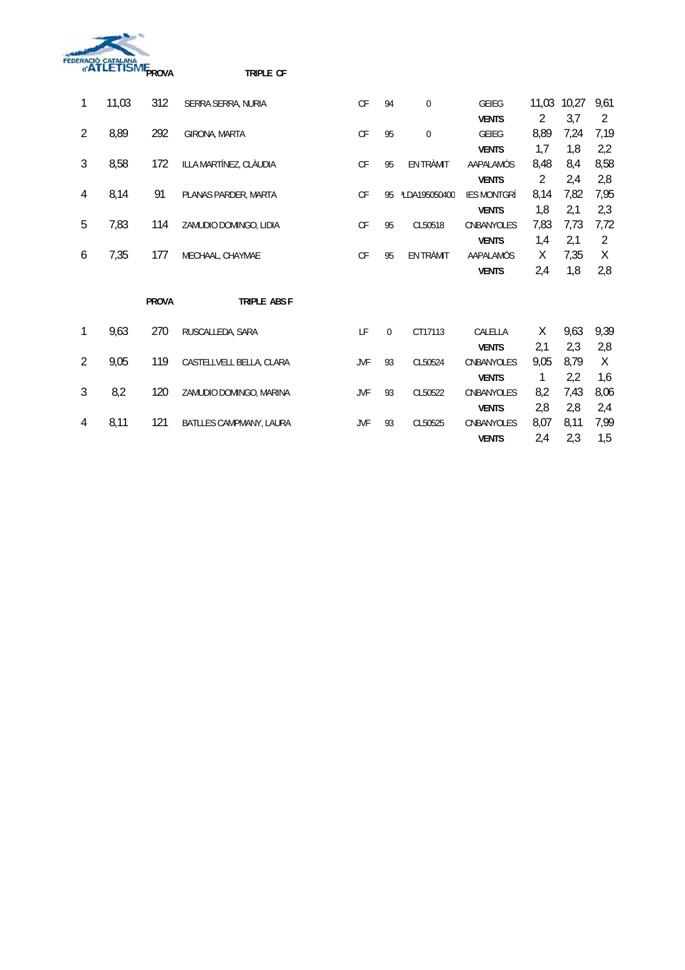

| 1              | 11,03 | 312          | SERRA SERRA, NURIA       | CF                     | 94          | $\mathbf 0$               | <b>GEIEG</b>       | 11,03          | 10,27 | 9,61           |
|----------------|-------|--------------|--------------------------|------------------------|-------------|---------------------------|--------------------|----------------|-------|----------------|
|                |       |              |                          |                        |             |                           | <b>VENTS</b>       | $\overline{2}$ | 3,7   | 2              |
| $\overline{2}$ | 8,89  | 292          | GIRONA, MARTA            | $\mathsf{C}\mathsf{F}$ | 95          | $\mathbf 0$               | <b>GEIEG</b>       | 8,89           | 7,24  | 7,19           |
|                |       |              |                          |                        |             |                           | <b>VENTS</b>       | 1,7            | 1,8   | 2,2            |
| $\mathfrak{Z}$ | 8,58  | 172          | ILLA MARTÍNEZ, CLÀUDIA   | CF                     | 95          | EN TRÀMIT                 | AAPALAMÓS          | 8,48           | 8,4   | 8,58           |
|                |       |              |                          |                        |             |                           | <b>VENTS</b>       | $\overline{2}$ | 2,4   | 2,8            |
| 4              | 8,14  | 91           | PLANAS PARDER, MARTA     | <b>CF</b>              | 95          | <sup>2</sup> LDA195050400 | <b>IES MONTGRÍ</b> | 8,14           | 7,82  | 7,95           |
|                |       |              |                          |                        |             |                           | <b>VENTS</b>       | 1,8            | 2,1   | 2,3            |
| 5              | 7,83  | 114          | ZAMUDIO DOMINGO, LIDIA   | CF                     | 95          | CL50518                   | CNBANYOLES         | 7,83           | 7,73  | 7,72           |
|                |       |              |                          |                        |             |                           | <b>VENTS</b>       | 1,4            | 2,1   | $\overline{2}$ |
| 6              | 7,35  | 177          | MECHAAL, CHAYMAE         | CF                     | 95          | EN TRÀMIT                 | AAPALAMÓS          | Χ              | 7,35  | X              |
|                |       |              |                          |                        |             |                           | <b>VENTS</b>       | 2,4            | 1,8   | 2,8            |
|                |       | <b>PROVA</b> | TRIPLE ABS F             |                        |             |                           |                    |                |       |                |
|                |       |              |                          |                        |             |                           |                    |                |       |                |
| 1              | 9,63  | 270          | RUSCALLEDA, SARA         | LF                     | $\mathbf 0$ | CT17113                   | CALELLA            | Χ              | 9,63  | 9,39           |
|                |       |              |                          |                        |             |                           | <b>VENTS</b>       | 2,1            | 2,3   | 2,8            |
| $\overline{2}$ | 9,05  | 119          | CASTELLVELL BELLA, CLARA | JVF                    | 93          | CL50524                   | CNBANYOLES         | 9,05           | 8,79  | X              |
|                |       |              |                          |                        |             |                           | <b>VENTS</b>       | 1              | 2,2   | 1,6            |
| 3              | 8,2   | 120          | ZAMUDIO DOMINGO, MARINA  | JVF                    | 93          | CL50522                   | CNBANYOLES         | 8,2            | 7,43  | 8,06           |
|                |       |              |                          |                        |             |                           | <b>VENTS</b>       | 2,8            | 2,8   | 2,4            |
| 4              | 8,11  | 121          | BATLLES CAMPMANY, LAURA  | <b>JVF</b>             | 93          | CL50525                   | CNBANYOLES         | 8,07           | 8,11  | 7,99           |
|                |       |              |                          |                        |             |                           | <b>VENTS</b>       | 2,4            | 2,3   | 1,5            |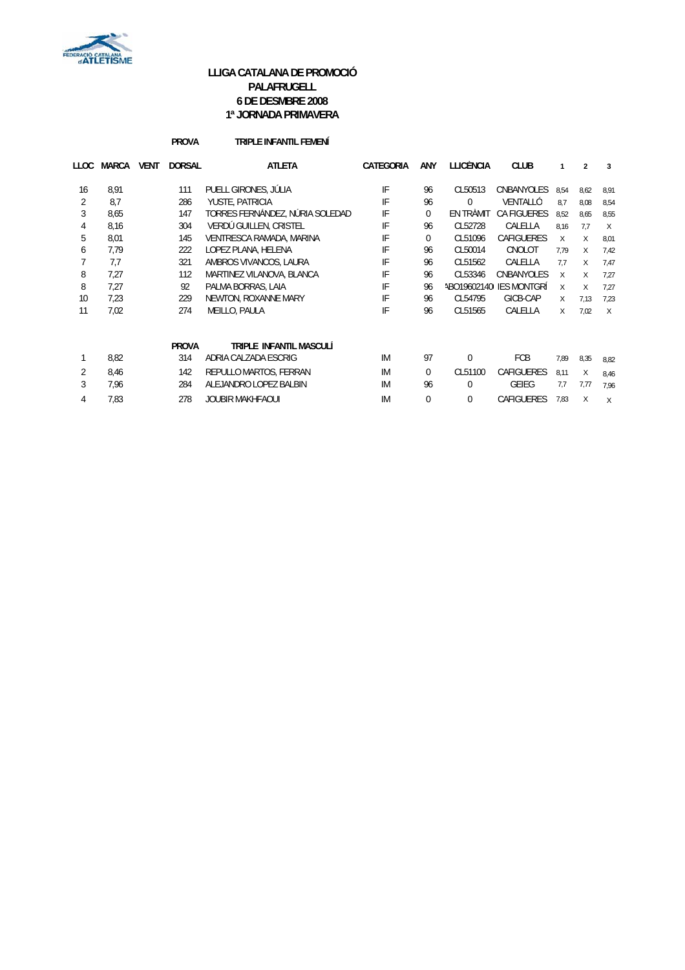

### **LLIGA CATALANA DE PROMOCIÓ PALAFRUGELL 6 DE DESMBRE 2008 1ª JORNADA PRIMAVERA**

### **PROVA TRIPLE INFANTIL FEMENÍ**

| LLOC           | MARCA | <b>VENT</b> | <b>DORSAL</b> | <b>ATLETA</b>                   | CATEGORIA |          | LLICÈNCIA | <b>CLUB</b>             |          | $\overline{2}$ | 3      |
|----------------|-------|-------------|---------------|---------------------------------|-----------|----------|-----------|-------------------------|----------|----------------|--------|
| 16             | 8.91  |             | 111           | PUELL GIRONES, JÚLIA            | IF        | 96       | CL50513   | <b>CNBANYOLES</b>       | 8.54     | 8,62           | 8,91   |
| 2              | 8,7   |             | 286           | YUSTE, PATRICIA                 | IF        | 96       | $\Omega$  | VENTALLÓ                | 8.7      | 8,08           | 8,54   |
| 3              | 8,65  |             | 147           | TORRES FERNÁNDEZ, NÚRIA SOLEDAD | IF        | $\Omega$ | EN TRAMIT | <b>CA FIGUERES</b>      | 8,52     | 8,65           | 8,55   |
| 4              | 8,16  |             | 304           | VERDÚ GUILLEN, CRISTEL          | IF        | 96       | CL52728   | CALELLA                 | 8,16     | 7.7            | $\chi$ |
| 5              | 8,01  |             | 145           | VENTRESCA RAMADA, MARINA        | IF        | $\Omega$ | CL51096   | <b>CAFIGUERES</b>       | $\times$ | X              | 8,01   |
| 6              | 7.79  |             | 222           | LOPEZ PLANA, HELENA             | IF        | 96       | CL50014   | CNOLOT                  | 7.79     | X              | 7,42   |
|                | 7.7   |             | 321           | AMBROS VIVANCOS, LAURA          | IF        | 96       | CL51562   | CALELLA                 | 7.7      | X              | 7,47   |
| 8              | 7.27  |             | 112           | MARTINEZ VILANOVA, BLANCA       | IF        | 96       | CL53346   | CNBANYOLES              | X        | X              | 7,27   |
| 8              | 7,27  |             | 92            | PALMA BORRAS, LAIA              | IF        | 96       |           | ABO19602140 IES MONTGRÍ | X        | X              | 7,27   |
| 10             | 7,23  |             | 229           | NEWTON, ROXANNE MARY            | IF        | 96       | CL54795   | GICB-CAP                | X        | 7,13           | 7,23   |
| 11             | 7,02  |             | 274           | MEILLO, PAULA                   | IF        | 96       | CL51565   | CALELLA                 | X        | 7,02           | $\chi$ |
|                |       |             | <b>PROVA</b>  | TRIPLE INFANTIL MASCULÍ         |           |          |           |                         |          |                |        |
|                | 8,82  |             | 314           | ADRIA CALZADA ESCRIG            | IM        | 97       | $\Omega$  | <b>FCB</b>              | 7,89     | 8,35           | 8,82   |
| $\overline{2}$ | 8,46  |             | 142           | REPULLO MARTOS, FERRAN          | IM        | $\Omega$ | CL51100   | <b>CAFIGUERES</b>       | 8,11     | X              | 8,46   |
| 3              | 7,96  |             | 284           | ALEJANDRO LOPEZ BALBIN          | IM        | 96       | $\Omega$  | <b>GEIEG</b>            | 7.7      | 7,77           | 7,96   |
| 4              | 7,83  |             | 278           | <b>JOUBIR MAKHFAOUI</b>         |           | 0        | 0         | <b>CAFIGUERES</b>       | 7,83     | X              | $\chi$ |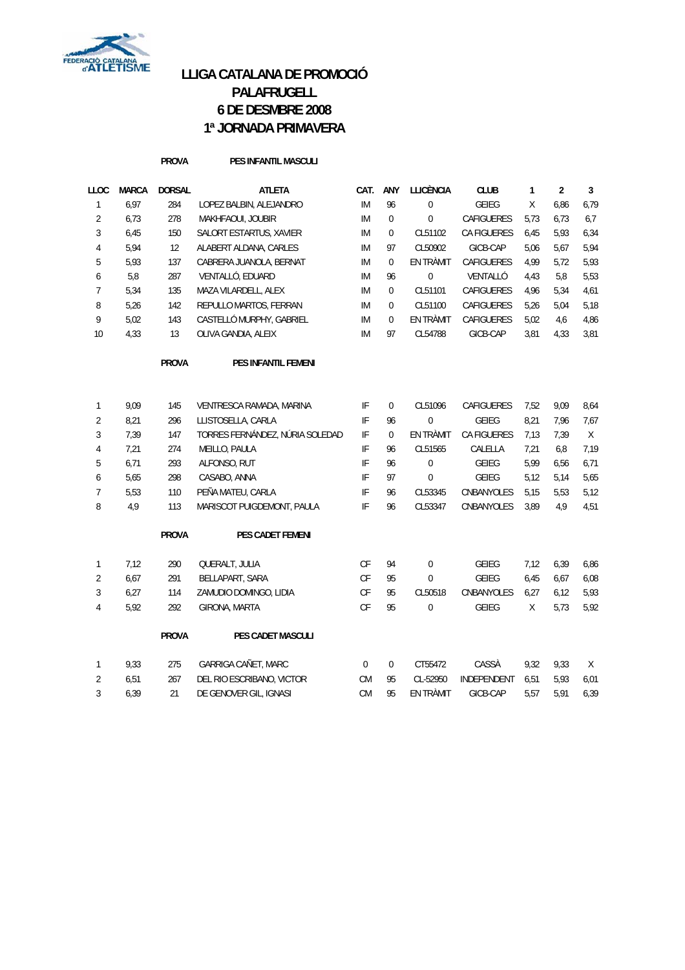

# **LLIGA CATALANA DE PROMOCIÓ PALAFRUGELL 6 DE DESMBRE 2008 1ª JORNADA PRIMAVERA**

#### **PROVA PES INFANTIL MASCULI**

| LLOC           | <b>MARCA</b> | <b>DORSAL</b> | <b>ATLETA</b>            | CAT.      | ANY         | LLICÈNCIA | <b>CLUB</b>        |      | 2    | 3    |
|----------------|--------------|---------------|--------------------------|-----------|-------------|-----------|--------------------|------|------|------|
|                | 6.97         | 284           | LOPEZ BALBIN, ALEJANDRO  | IM        | 96          | $\Omega$  | GEIFG              | X    | 6,86 | 6.79 |
| $\overline{2}$ | 6.73         | 278           | MAKHFAOUI, JOUBIR        | IM        | 0           | $\Omega$  | CAFIGUERES         | 5.73 | 6.73 | 6.7  |
| 3              | 6.45         | 150           | SALORT ESTARTUS, XAVIER  | IM        | $\mathbf 0$ | CL51102   | <b>CA FIGUERES</b> | 6.45 | 5,93 | 6,34 |
| 4              | 5,94         | 12            | ALABERT ALDANA, CARLES   | IM        | 97          | CL50902   | GICB-CAP           | 5,06 | 5,67 | 5,94 |
| 5              | 5.93         | 137           | CABRERA JUANOLA, BERNAT  | <b>IM</b> | $\theta$    | EN TRÀMIT | <b>CAFIGUERES</b>  | 4.99 | 5.72 | 5.93 |
| 6              | 5,8          | 287           | VENTALLÓ, EDUARD         | IM        | 96          | $\Omega$  | VENTALLÓ           | 4.43 | 5.8  | 5,53 |
|                | 5.34         | 135           | MAZA VILARDELL, ALEX     | IM        | 0           | CL51101   | <b>CAFIGUERES</b>  | 4.96 | 5,34 | 4,61 |
| 8              | 5,26         | 142           | REPULLO MARTOS, FERRAN   | <b>IM</b> | 0           | CL51100   | <b>CAFIGUERES</b>  | 5,26 | 5,04 | 5,18 |
| 9              | 5.02         | 143           | CASTELLÓ MURPHY, GABRIEL | IM        | $\theta$    | EN TRÀMIT | CAFIGUERES         | 5.02 | 4,6  | 4.86 |
| 10             | 4.33         | 13            | OLIVA GANDIA, ALEIX      | IM        | 97          | CL54788   | GICB-CAP           | 3,81 | 4,33 | 3,81 |
|                |              |               |                          |           |             |           |                    |      |      |      |

**PROVA PES INFANTIL FEMENI**

|                | 9,09 | 145 | VENTRESCA RAMADA, MARINA        | IF | 0  | CL51096   | <b>CAFIGUERES</b>  | 7,52 | 9,09 | 8.64 |
|----------------|------|-----|---------------------------------|----|----|-----------|--------------------|------|------|------|
| $\overline{2}$ | 8,21 | 296 | LLISTOSELLA, CARLA              | IF | 96 | $\Omega$  | <b>GEIEG</b>       | 8.21 | 7,96 | 7.67 |
| 3              | 7,39 | 147 | TORRES FERNÁNDEZ, NÚRIA SOLEDAD | IF | 0  | EN TRÀMIT | <b>CA FIGUERES</b> | 7.13 | 7.39 | X    |
| 4              | 7.21 | 274 | MEILLO, PAULA                   | IF | 96 | CL51565   | CALELLA            | 7.21 | 6.8  | 7.19 |
| 5              | 6.71 | 293 | ALFONSO, RUT                    | IF | 96 | $\Omega$  | GEIEG              | 5.99 | 6.56 | 6.71 |
| 6              | 5.65 | 298 | CASABO, ANNA                    | IF | 97 | $\Omega$  | GEIEG              | 5.12 | 5.14 | 5.65 |
| $\overline{7}$ | 5.53 | 110 | PEÑA MATEU, CARLA               | IF | 96 | CL53345   | CNBANYOLES         | 5.15 | 5.53 | 5.12 |
| 8              | 4,9  | 113 | MARISCOT PUIGDEMONT, PAULA      | IF | 96 | CL53347   | <b>CNBANYOLES</b>  | 3.89 | 4.9  | 4.51 |
|                |      |     |                                 |    |    |           |                    |      |      |      |

**PROVA PES CADET FEMENI**

1 7,12 290 QUERALT, JULIA CF 94 0 GEIEG 7,12 6,39 6,86

| 2 6.67 | 291 BELLAPART, SARA               | CF 95 | $\overline{0}$ | GEIEG 6,45 6,67 6,08                    |  |  |
|--------|-----------------------------------|-------|----------------|-----------------------------------------|--|--|
|        | 3 6,27 114 ZAMUDIO DOMINGO, LIDIA |       |                | CF 95 CL50518 CNBANYOLES 6,27 6,12 5,93 |  |  |
| 4 5.92 | 292 GIRONA, MARTA                 |       | CF 95 0        | GEIEG X 5.73 5.92                       |  |  |

| D.YZ | 292 L        | GIRUNA, MARTA       | UF.    | - 90     | U       | <b>ULILU</b> A |      |      |   |
|------|--------------|---------------------|--------|----------|---------|----------------|------|------|---|
|      | <b>PROVA</b> | PES CADET MASCULI   |        |          |         |                |      |      |   |
| 9.33 | 275          | GARRIGA CAÑET, MARC | $\cap$ | $\Omega$ | CT55472 | CASSÀ          | 9.32 | 9.33 | X |

| 9.33 | 275 GARRIGA CANET. MARC       |  |                | 0 0 C155472 CASSA 9.32 9.33 X             |  |  |
|------|-------------------------------|--|----------------|-------------------------------------------|--|--|
| 6.51 | 267 DEL RIO ESCRIBANO, VICTOR |  |                | CM 95 CL-52950 INDEPENDENT 6.51 5.93 6.01 |  |  |
| 6.39 | DE GENOVER GIL. IGNASI        |  | CM 95 ENTRAMIT | GICB-CAP 5.57 5.91 6.39                   |  |  |